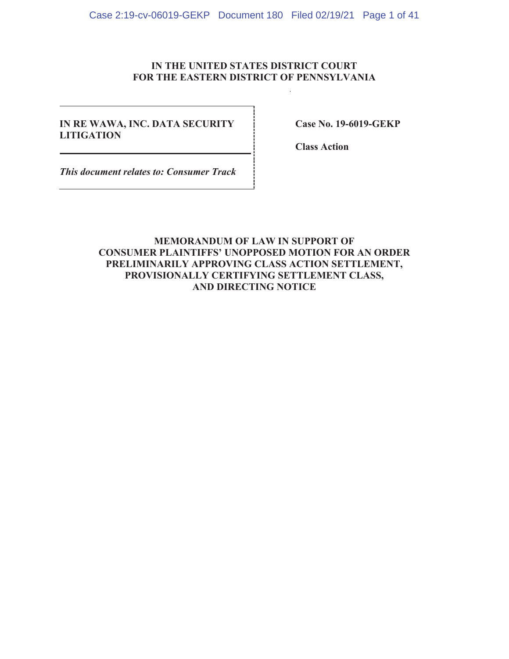### **IN THE UNITED STATES DISTRICT COURT FOR THE EASTERN DISTRICT OF PENNSYLVANIA**

### **IN RE WAWA, INC. DATA SECURITY LITIGATION**

**Case No. 19-6019-GEKP** 

**Class Action** 

*This document relates to: Consumer Track*

### **MEMORANDUM OF LAW IN SUPPORT OF CONSUMER PLAINTIFFS' UNOPPOSED MOTION FOR AN ORDER PRELIMINARILY APPROVING CLASS ACTION SETTLEMENT, PROVISIONALLY CERTIFYING SETTLEMENT CLASS, AND DIRECTING NOTICE**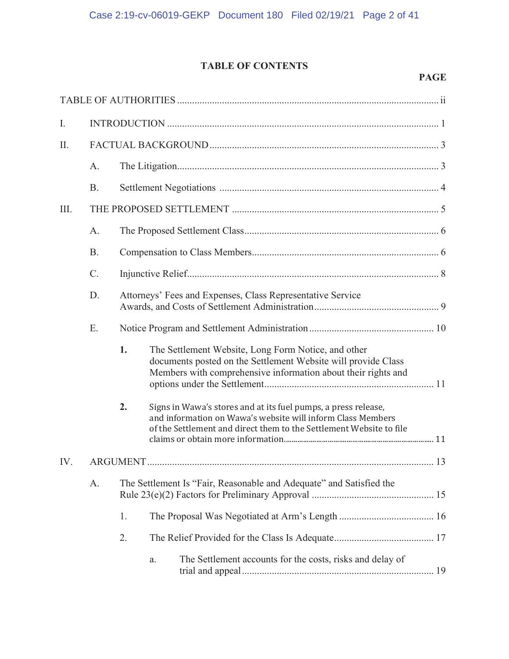## **TABLE OF CONTENTS**

#### **PAGE**

| I.   |           |                                                                     |                                                                                                                                                                                                      |  |
|------|-----------|---------------------------------------------------------------------|------------------------------------------------------------------------------------------------------------------------------------------------------------------------------------------------------|--|
| II.  |           |                                                                     |                                                                                                                                                                                                      |  |
|      | A.        |                                                                     |                                                                                                                                                                                                      |  |
|      | <b>B.</b> |                                                                     |                                                                                                                                                                                                      |  |
| III. |           |                                                                     |                                                                                                                                                                                                      |  |
|      | A.        |                                                                     |                                                                                                                                                                                                      |  |
|      | <b>B.</b> |                                                                     |                                                                                                                                                                                                      |  |
|      | $C$ .     |                                                                     |                                                                                                                                                                                                      |  |
|      | D.        |                                                                     | Attorneys' Fees and Expenses, Class Representative Service                                                                                                                                           |  |
|      | E.        |                                                                     |                                                                                                                                                                                                      |  |
|      |           | 1.                                                                  | The Settlement Website, Long Form Notice, and other<br>documents posted on the Settlement Website will provide Class<br>Members with comprehensive information about their rights and                |  |
|      |           | 2.                                                                  | Signs in Wawa's stores and at its fuel pumps, a press release,<br>and information on Wawa's website will inform Class Members<br>of the Settlement and direct them to the Settlement Website to file |  |
| IV.  |           |                                                                     |                                                                                                                                                                                                      |  |
|      | A.        | The Settlement Is "Fair, Reasonable and Adequate" and Satisfied the |                                                                                                                                                                                                      |  |
|      |           | 1.                                                                  |                                                                                                                                                                                                      |  |
|      |           | 2.                                                                  |                                                                                                                                                                                                      |  |
|      |           |                                                                     | The Settlement accounts for the costs, risks and delay of<br>a.                                                                                                                                      |  |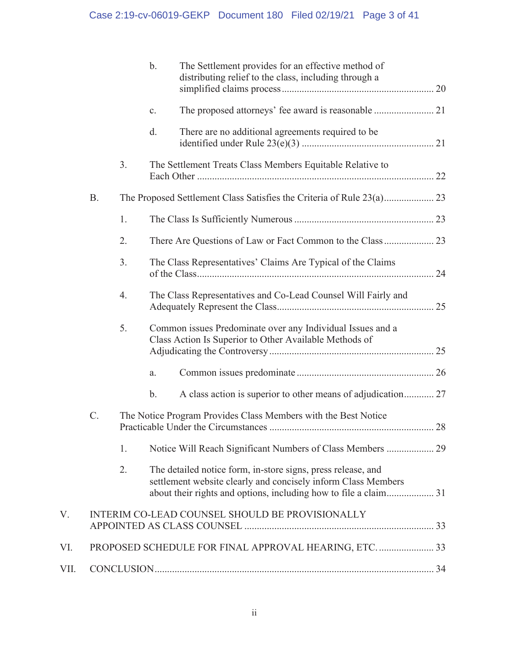|      |           |    | $\mathbf{b}$ . | The Settlement provides for an effective method of<br>distributing relief to the class, including through a                                                                                       |  |
|------|-----------|----|----------------|---------------------------------------------------------------------------------------------------------------------------------------------------------------------------------------------------|--|
|      |           |    | c.             |                                                                                                                                                                                                   |  |
|      |           |    | d.             | There are no additional agreements required to be                                                                                                                                                 |  |
|      |           | 3. |                | The Settlement Treats Class Members Equitable Relative to                                                                                                                                         |  |
|      | <b>B.</b> |    |                |                                                                                                                                                                                                   |  |
|      |           | 1. |                |                                                                                                                                                                                                   |  |
|      |           | 2. |                |                                                                                                                                                                                                   |  |
|      |           | 3. |                | The Class Representatives' Claims Are Typical of the Claims                                                                                                                                       |  |
|      |           | 4. |                | The Class Representatives and Co-Lead Counsel Will Fairly and                                                                                                                                     |  |
|      |           | 5. |                | Common issues Predominate over any Individual Issues and a<br>Class Action Is Superior to Other Available Methods of                                                                              |  |
|      |           |    | a.             |                                                                                                                                                                                                   |  |
|      |           |    | $\mathbf b$ .  | A class action is superior to other means of adjudication 27                                                                                                                                      |  |
|      | C.        |    |                | The Notice Program Provides Class Members with the Best Notice                                                                                                                                    |  |
|      |           | 1. |                |                                                                                                                                                                                                   |  |
|      |           | 2. |                | The detailed notice form, in-store signs, press release, and<br>settlement website clearly and concisely inform Class Members<br>about their rights and options, including how to file a claim 31 |  |
| V.   |           |    |                | INTERIM CO-LEAD COUNSEL SHOULD BE PROVISIONALLY                                                                                                                                                   |  |
| VI.  |           |    |                | PROPOSED SCHEDULE FOR FINAL APPROVAL HEARING, ETC.  33                                                                                                                                            |  |
| VII. |           |    |                |                                                                                                                                                                                                   |  |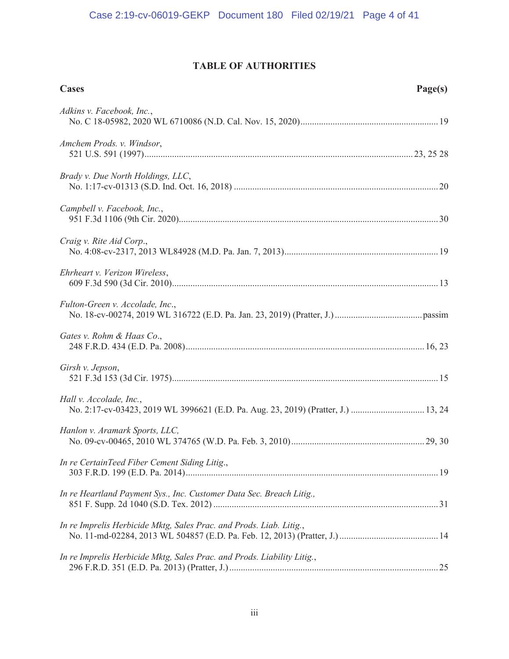## **TABLE OF AUTHORITIES**

| <b>Cases</b>                                                                                                 | Page(s) |
|--------------------------------------------------------------------------------------------------------------|---------|
| Adkins v. Facebook, Inc.,                                                                                    |         |
| Amchem Prods. v. Windsor,                                                                                    |         |
| Brady v. Due North Holdings, LLC,                                                                            |         |
| Campbell v. Facebook, Inc.,                                                                                  |         |
| Craig v. Rite Aid Corp.,                                                                                     |         |
| Ehrheart v. Verizon Wireless,                                                                                |         |
| Fulton-Green v. Accolade, Inc.,                                                                              |         |
| Gates v. Rohm & Haas Co.,                                                                                    |         |
| Girsh v. Jepson,                                                                                             |         |
| Hall v. Accolade, Inc.,<br>No. 2:17-cv-03423, 2019 WL 3996621 (E.D. Pa. Aug. 23, 2019) (Pratter, J.)  13, 24 |         |
| Hanlon v. Aramark Sports, LLC,                                                                               |         |
| In re CertainTeed Fiber Cement Siding Litig.,                                                                |         |
| In re Heartland Payment Sys., Inc. Customer Data Sec. Breach Litig.,                                         |         |
| In re Imprelis Herbicide Mktg, Sales Prac. and Prods. Liab. Litig.,                                          |         |
| In re Imprelis Herbicide Mktg, Sales Prac. and Prods. Liability Litig.,                                      |         |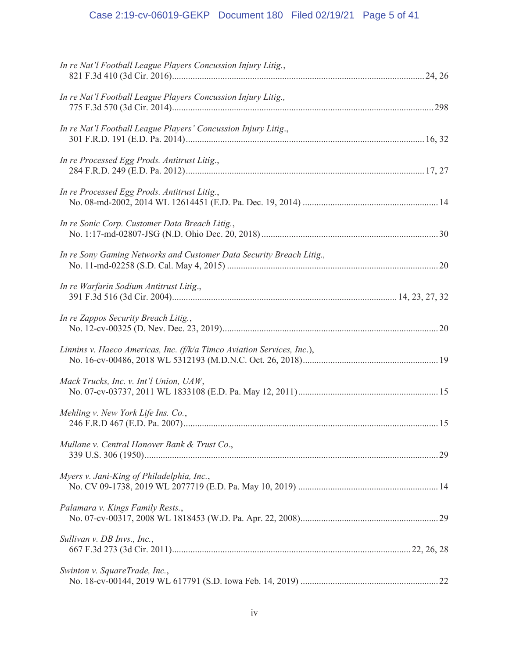# Case 2:19-cv-06019-GEKP Document 180 Filed 02/19/21 Page 5 of 41

| In re Nat'l Football League Players Concussion Injury Litig.,          |  |
|------------------------------------------------------------------------|--|
| In re Nat'l Football League Players Concussion Injury Litig.,          |  |
| In re Nat'l Football League Players' Concussion Injury Litig.,         |  |
| In re Processed Egg Prods. Antitrust Litig.,                           |  |
| In re Processed Egg Prods. Antitrust Litig.,                           |  |
| In re Sonic Corp. Customer Data Breach Litig.,                         |  |
| In re Sony Gaming Networks and Customer Data Security Breach Litig.,   |  |
| In re Warfarin Sodium Antitrust Litig.,                                |  |
| In re Zappos Security Breach Litig.,                                   |  |
| Linnins v. Haeco Americas, Inc. (f/k/a Timco Aviation Services, Inc.), |  |
| Mack Trucks, Inc. v. Int'l Union, UAW,                                 |  |
| Mehling v. New York Life Ins. Co.,                                     |  |
| Mullane v. Central Hanover Bank & Trust Co.,                           |  |
| Myers v. Jani-King of Philadelphia, Inc.,                              |  |
| Palamara v. Kings Family Rests.,                                       |  |
| Sullivan v. DB Invs., Inc.,                                            |  |
| Swinton v. SquareTrade, Inc.,                                          |  |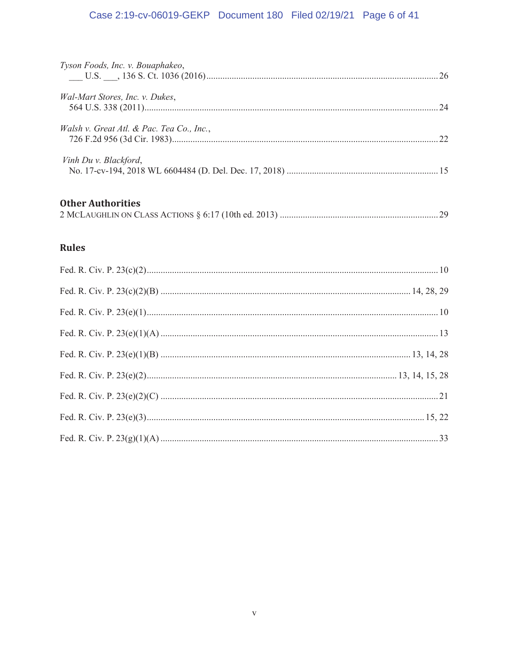# Case 2:19-cv-06019-GEKP Document 180 Filed 02/19/21 Page 6 of 41

| Tyson Foods, Inc. v. Bouaphakeo,          |  |
|-------------------------------------------|--|
| Wal-Mart Stores, Inc. v. Dukes,           |  |
| Walsh v. Great Atl. & Pac. Tea Co., Inc., |  |
| Vinh Du v. Blackford,                     |  |
| <b>Other Authorities</b>                  |  |
| <b>Rules</b>                              |  |
|                                           |  |
|                                           |  |
|                                           |  |
|                                           |  |
|                                           |  |
|                                           |  |
|                                           |  |
|                                           |  |
|                                           |  |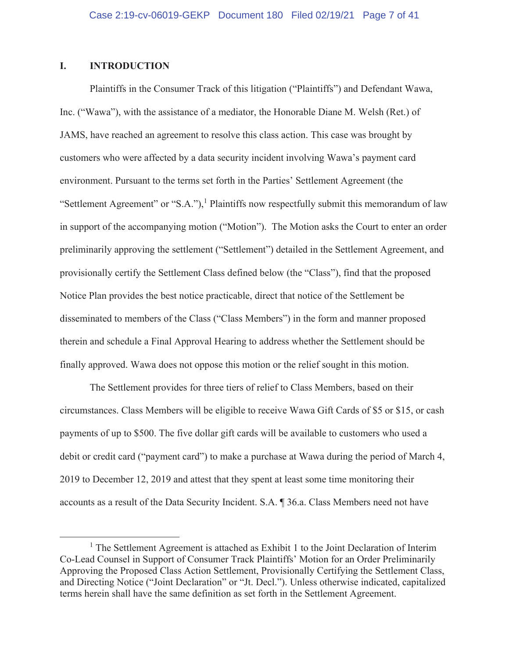### **I. INTRODUCTION**

Plaintiffs in the Consumer Track of this litigation ("Plaintiffs") and Defendant Wawa, Inc. ("Wawa"), with the assistance of a mediator, the Honorable Diane M. Welsh (Ret.) of JAMS, have reached an agreement to resolve this class action. This case was brought by customers who were affected by a data security incident involving Wawa's payment card environment. Pursuant to the terms set forth in the Parties' Settlement Agreement (the "Settlement Agreement" or "S.A."),<sup>1</sup> Plaintiffs now respectfully submit this memorandum of law in support of the accompanying motion ("Motion"). The Motion asks the Court to enter an order preliminarily approving the settlement ("Settlement") detailed in the Settlement Agreement, and provisionally certify the Settlement Class defined below (the "Class"), find that the proposed Notice Plan provides the best notice practicable, direct that notice of the Settlement be disseminated to members of the Class ("Class Members") in the form and manner proposed therein and schedule a Final Approval Hearing to address whether the Settlement should be finally approved. Wawa does not oppose this motion or the relief sought in this motion.

The Settlement provides for three tiers of relief to Class Members, based on their circumstances. Class Members will be eligible to receive Wawa Gift Cards of \$5 or \$15, or cash payments of up to \$500. The five dollar gift cards will be available to customers who used a debit or credit card ("payment card") to make a purchase at Wawa during the period of March 4, 2019 to December 12, 2019 and attest that they spent at least some time monitoring their accounts as a result of the Data Security Incident. S.A. ¶ 36.a. Class Members need not have

<sup>&</sup>lt;sup>1</sup> The Settlement Agreement is attached as Exhibit 1 to the Joint Declaration of Interim Co-Lead Counsel in Support of Consumer Track Plaintiffs' Motion for an Order Preliminarily Approving the Proposed Class Action Settlement, Provisionally Certifying the Settlement Class, and Directing Notice ("Joint Declaration" or "Jt. Decl."). Unless otherwise indicated, capitalized terms herein shall have the same definition as set forth in the Settlement Agreement.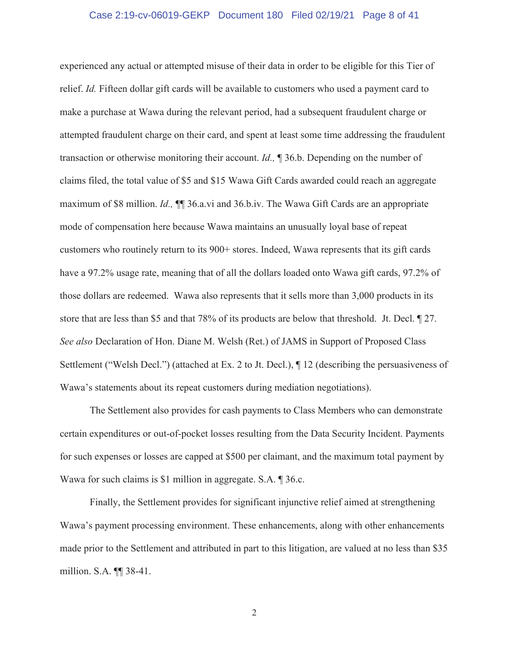#### Case 2:19-cv-06019-GEKP Document 180 Filed 02/19/21 Page 8 of 41

experienced any actual or attempted misuse of their data in order to be eligible for this Tier of relief. *Id.* Fifteen dollar gift cards will be available to customers who used a payment card to make a purchase at Wawa during the relevant period, had a subsequent fraudulent charge or attempted fraudulent charge on their card, and spent at least some time addressing the fraudulent transaction or otherwise monitoring their account. *Id.,* ¶ 36.b. Depending on the number of claims filed, the total value of \$5 and \$15 Wawa Gift Cards awarded could reach an aggregate maximum of \$8 million. *Id.,* ¶¶ 36.a.vi and 36.b.iv. The Wawa Gift Cards are an appropriate mode of compensation here because Wawa maintains an unusually loyal base of repeat customers who routinely return to its 900+ stores. Indeed, Wawa represents that its gift cards have a 97.2% usage rate, meaning that of all the dollars loaded onto Wawa gift cards, 97.2% of those dollars are redeemed. Wawa also represents that it sells more than 3,000 products in its store that are less than \$5 and that 78% of its products are below that threshold. Jt. Decl. ¶ 27. *See also* Declaration of Hon. Diane M. Welsh (Ret.) of JAMS in Support of Proposed Class Settlement ("Welsh Decl.") (attached at Ex. 2 to Jt. Decl.), ¶ 12 (describing the persuasiveness of Wawa's statements about its repeat customers during mediation negotiations).

The Settlement also provides for cash payments to Class Members who can demonstrate certain expenditures or out-of-pocket losses resulting from the Data Security Incident. Payments for such expenses or losses are capped at \$500 per claimant, and the maximum total payment by Wawa for such claims is \$1 million in aggregate. S.A. ¶ 36.c.

Finally, the Settlement provides for significant injunctive relief aimed at strengthening Wawa's payment processing environment. These enhancements, along with other enhancements made prior to the Settlement and attributed in part to this litigation, are valued at no less than \$35 million. S.A. ¶¶ 38-41.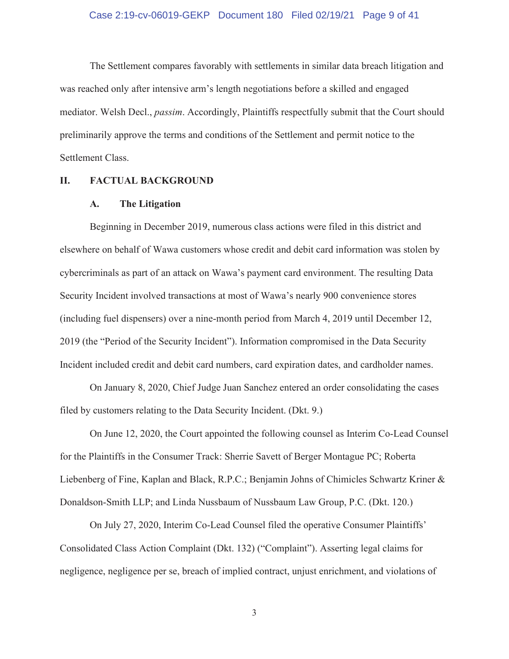#### Case 2:19-cv-06019-GEKP Document 180 Filed 02/19/21 Page 9 of 41

The Settlement compares favorably with settlements in similar data breach litigation and was reached only after intensive arm's length negotiations before a skilled and engaged mediator. Welsh Decl., *passim*. Accordingly, Plaintiffs respectfully submit that the Court should preliminarily approve the terms and conditions of the Settlement and permit notice to the Settlement Class.

#### **II. FACTUAL BACKGROUND**

#### **A. The Litigation**

Beginning in December 2019, numerous class actions were filed in this district and elsewhere on behalf of Wawa customers whose credit and debit card information was stolen by cybercriminals as part of an attack on Wawa's payment card environment. The resulting Data Security Incident involved transactions at most of Wawa's nearly 900 convenience stores (including fuel dispensers) over a nine-month period from March 4, 2019 until December 12, 2019 (the "Period of the Security Incident"). Information compromised in the Data Security Incident included credit and debit card numbers, card expiration dates, and cardholder names.

On January 8, 2020, Chief Judge Juan Sanchez entered an order consolidating the cases filed by customers relating to the Data Security Incident. (Dkt. 9.)

On June 12, 2020, the Court appointed the following counsel as Interim Co-Lead Counsel for the Plaintiffs in the Consumer Track: Sherrie Savett of Berger Montague PC; Roberta Liebenberg of Fine, Kaplan and Black, R.P.C.; Benjamin Johns of Chimicles Schwartz Kriner & Donaldson-Smith LLP; and Linda Nussbaum of Nussbaum Law Group, P.C. (Dkt. 120.)

On July 27, 2020, Interim Co-Lead Counsel filed the operative Consumer Plaintiffs' Consolidated Class Action Complaint (Dkt. 132) ("Complaint"). Asserting legal claims for negligence, negligence per se, breach of implied contract, unjust enrichment, and violations of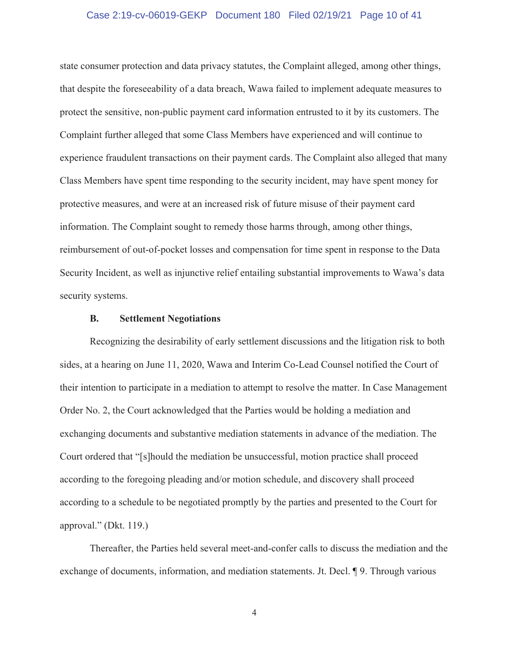#### Case 2:19-cv-06019-GEKP Document 180 Filed 02/19/21 Page 10 of 41

state consumer protection and data privacy statutes, the Complaint alleged, among other things, that despite the foreseeability of a data breach, Wawa failed to implement adequate measures to protect the sensitive, non-public payment card information entrusted to it by its customers. The Complaint further alleged that some Class Members have experienced and will continue to experience fraudulent transactions on their payment cards. The Complaint also alleged that many Class Members have spent time responding to the security incident, may have spent money for protective measures, and were at an increased risk of future misuse of their payment card information. The Complaint sought to remedy those harms through, among other things, reimbursement of out-of-pocket losses and compensation for time spent in response to the Data Security Incident, as well as injunctive relief entailing substantial improvements to Wawa's data security systems.

#### **B. Settlement Negotiations**

Recognizing the desirability of early settlement discussions and the litigation risk to both sides, at a hearing on June 11, 2020, Wawa and Interim Co-Lead Counsel notified the Court of their intention to participate in a mediation to attempt to resolve the matter. In Case Management Order No. 2, the Court acknowledged that the Parties would be holding a mediation and exchanging documents and substantive mediation statements in advance of the mediation. The Court ordered that "[s]hould the mediation be unsuccessful, motion practice shall proceed according to the foregoing pleading and/or motion schedule, and discovery shall proceed according to a schedule to be negotiated promptly by the parties and presented to the Court for approval." (Dkt. 119.)

Thereafter, the Parties held several meet-and-confer calls to discuss the mediation and the exchange of documents, information, and mediation statements. Jt. Decl. ¶ 9. Through various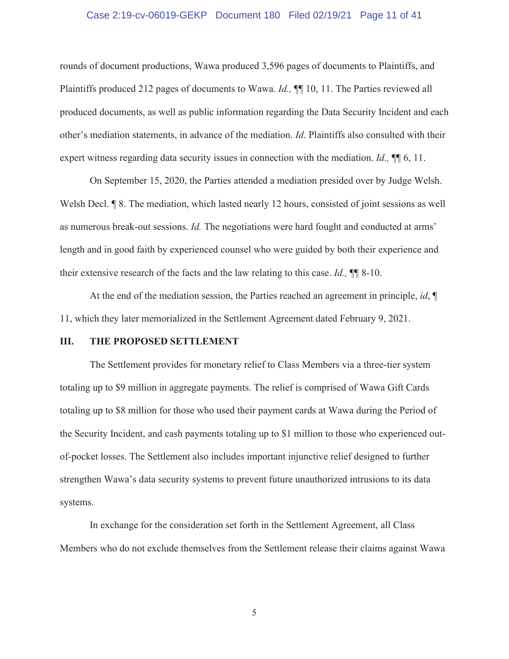#### Case 2:19-cv-06019-GEKP Document 180 Filed 02/19/21 Page 11 of 41

rounds of document productions, Wawa produced 3,596 pages of documents to Plaintiffs, and Plaintiffs produced 212 pages of documents to Wawa. *Id.,* ¶¶ 10, 11. The Parties reviewed all produced documents, as well as public information regarding the Data Security Incident and each other's mediation statements, in advance of the mediation. *Id*. Plaintiffs also consulted with their expert witness regarding data security issues in connection with the mediation. *Id.,* ¶¶ 6, 11.

On September 15, 2020, the Parties attended a mediation presided over by Judge Welsh. Welsh Decl. **¶** 8. The mediation, which lasted nearly 12 hours, consisted of joint sessions as well as numerous break-out sessions. *Id.* The negotiations were hard fought and conducted at arms' length and in good faith by experienced counsel who were guided by both their experience and their extensive research of the facts and the law relating to this case. *Id.,* ¶¶ 8-10.

At the end of the mediation session, the Parties reached an agreement in principle, *id*, ¶ 11, which they later memorialized in the Settlement Agreement dated February 9, 2021.

#### **III. THE PROPOSED SETTLEMENT**

The Settlement provides for monetary relief to Class Members via a three-tier system totaling up to \$9 million in aggregate payments. The relief is comprised of Wawa Gift Cards totaling up to \$8 million for those who used their payment cards at Wawa during the Period of the Security Incident, and cash payments totaling up to \$1 million to those who experienced outof-pocket losses. The Settlement also includes important injunctive relief designed to further strengthen Wawa's data security systems to prevent future unauthorized intrusions to its data systems.

In exchange for the consideration set forth in the Settlement Agreement, all Class Members who do not exclude themselves from the Settlement release their claims against Wawa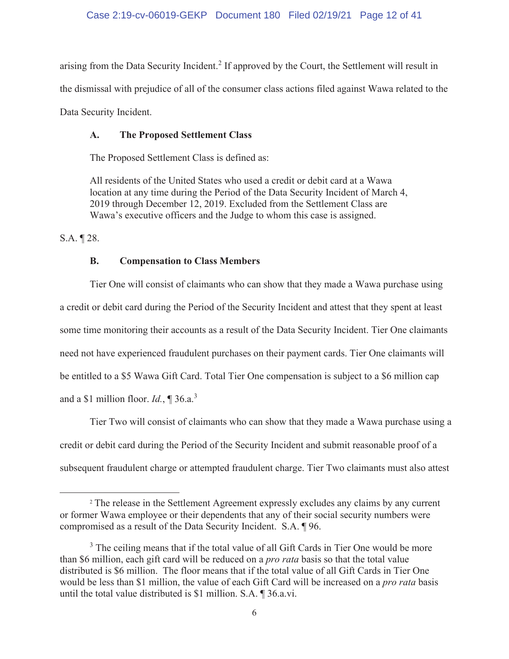arising from the Data Security Incident.<sup>2</sup> If approved by the Court, the Settlement will result in the dismissal with prejudice of all of the consumer class actions filed against Wawa related to the Data Security Incident.

### **A. The Proposed Settlement Class**

The Proposed Settlement Class is defined as:

All residents of the United States who used a credit or debit card at a Wawa location at any time during the Period of the Data Security Incident of March 4, 2019 through December 12, 2019. Excluded from the Settlement Class are Wawa's executive officers and the Judge to whom this case is assigned.

S.A. ¶ 28.

### **B. Compensation to Class Members**

Tier One will consist of claimants who can show that they made a Wawa purchase using a credit or debit card during the Period of the Security Incident and attest that they spent at least some time monitoring their accounts as a result of the Data Security Incident. Tier One claimants need not have experienced fraudulent purchases on their payment cards. Tier One claimants will be entitled to a \$5 Wawa Gift Card. Total Tier One compensation is subject to a \$6 million cap and a \$1 million floor. *Id.*, ¶ 36.a.<sup>3</sup>

Tier Two will consist of claimants who can show that they made a Wawa purchase using a credit or debit card during the Period of the Security Incident and submit reasonable proof of a subsequent fraudulent charge or attempted fraudulent charge. Tier Two claimants must also attest

<sup>&</sup>lt;sup>2</sup> The release in the Settlement Agreement expressly excludes any claims by any current or former Wawa employee or their dependents that any of their social security numbers were compromised as a result of the Data Security Incident. S.A. ¶ 96.

 $3$  The ceiling means that if the total value of all Gift Cards in Tier One would be more than \$6 million, each gift card will be reduced on a *pro rata* basis so that the total value distributed is \$6 million. The floor means that if the total value of all Gift Cards in Tier One would be less than \$1 million, the value of each Gift Card will be increased on a *pro rata* basis until the total value distributed is \$1 million. S.A. ¶ 36.a.vi.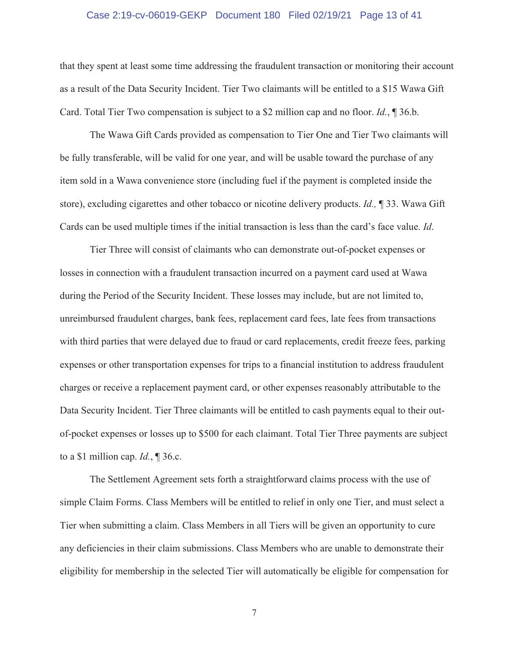#### Case 2:19-cv-06019-GEKP Document 180 Filed 02/19/21 Page 13 of 41

that they spent at least some time addressing the fraudulent transaction or monitoring their account as a result of the Data Security Incident. Tier Two claimants will be entitled to a \$15 Wawa Gift Card. Total Tier Two compensation is subject to a \$2 million cap and no floor. *Id.*, ¶ 36.b.

The Wawa Gift Cards provided as compensation to Tier One and Tier Two claimants will be fully transferable, will be valid for one year, and will be usable toward the purchase of any item sold in a Wawa convenience store (including fuel if the payment is completed inside the store), excluding cigarettes and other tobacco or nicotine delivery products. *Id.,* ¶ 33. Wawa Gift Cards can be used multiple times if the initial transaction is less than the card's face value. *Id*.

Tier Three will consist of claimants who can demonstrate out-of-pocket expenses or losses in connection with a fraudulent transaction incurred on a payment card used at Wawa during the Period of the Security Incident. These losses may include, but are not limited to, unreimbursed fraudulent charges, bank fees, replacement card fees, late fees from transactions with third parties that were delayed due to fraud or card replacements, credit freeze fees, parking expenses or other transportation expenses for trips to a financial institution to address fraudulent charges or receive a replacement payment card, or other expenses reasonably attributable to the Data Security Incident. Tier Three claimants will be entitled to cash payments equal to their outof-pocket expenses or losses up to \$500 for each claimant. Total Tier Three payments are subject to a \$1 million cap. *Id.*, ¶ 36.c.

The Settlement Agreement sets forth a straightforward claims process with the use of simple Claim Forms. Class Members will be entitled to relief in only one Tier, and must select a Tier when submitting a claim. Class Members in all Tiers will be given an opportunity to cure any deficiencies in their claim submissions. Class Members who are unable to demonstrate their eligibility for membership in the selected Tier will automatically be eligible for compensation for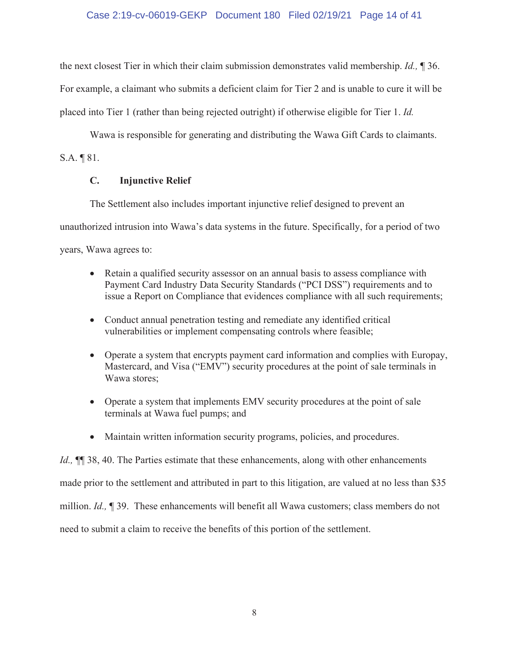### Case 2:19-cv-06019-GEKP Document 180 Filed 02/19/21 Page 14 of 41

the next closest Tier in which their claim submission demonstrates valid membership. *Id.,* ¶ 36. For example, a claimant who submits a deficient claim for Tier 2 and is unable to cure it will be placed into Tier 1 (rather than being rejected outright) if otherwise eligible for Tier 1. *Id.*

Wawa is responsible for generating and distributing the Wawa Gift Cards to claimants.

S.A. ¶ 81.

### **C. Injunctive Relief**

The Settlement also includes important injunctive relief designed to prevent an unauthorized intrusion into Wawa's data systems in the future. Specifically, for a period of two

years, Wawa agrees to:

- Retain a qualified security assessor on an annual basis to assess compliance with Payment Card Industry Data Security Standards ("PCI DSS") requirements and to issue a Report on Compliance that evidences compliance with all such requirements;
- Conduct annual penetration testing and remediate any identified critical vulnerabilities or implement compensating controls where feasible;
- Operate a system that encrypts payment card information and complies with Europay, Mastercard, and Visa ("EMV") security procedures at the point of sale terminals in Wawa stores;
- Operate a system that implements EMV security procedures at the point of sale terminals at Wawa fuel pumps; and
- Maintain written information security programs, policies, and procedures.

*Id.*, **[1]** 38, 40. The Parties estimate that these enhancements, along with other enhancements made prior to the settlement and attributed in part to this litigation, are valued at no less than \$35 million. *Id.,* ¶ 39. These enhancements will benefit all Wawa customers; class members do not

need to submit a claim to receive the benefits of this portion of the settlement.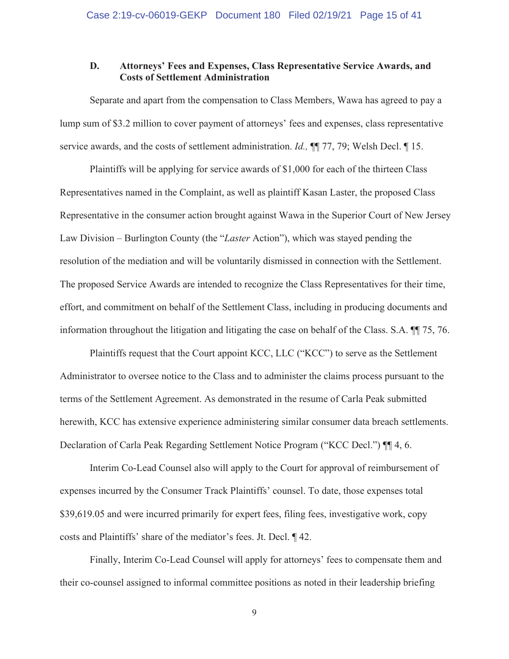### **D. Attorneys' Fees and Expenses, Class Representative Service Awards, and Costs of Settlement Administration**

Separate and apart from the compensation to Class Members, Wawa has agreed to pay a lump sum of \$3.2 million to cover payment of attorneys' fees and expenses, class representative service awards, and the costs of settlement administration. *Id.,* ¶¶ 77, 79; Welsh Decl. ¶ 15.

Plaintiffs will be applying for service awards of \$1,000 for each of the thirteen Class Representatives named in the Complaint, as well as plaintiff Kasan Laster, the proposed Class Representative in the consumer action brought against Wawa in the Superior Court of New Jersey Law Division – Burlington County (the "*Laster* Action"), which was stayed pending the resolution of the mediation and will be voluntarily dismissed in connection with the Settlement. The proposed Service Awards are intended to recognize the Class Representatives for their time, effort, and commitment on behalf of the Settlement Class, including in producing documents and information throughout the litigation and litigating the case on behalf of the Class. S.A. ¶¶ 75, 76.

Plaintiffs request that the Court appoint KCC, LLC ("KCC") to serve as the Settlement Administrator to oversee notice to the Class and to administer the claims process pursuant to the terms of the Settlement Agreement. As demonstrated in the resume of Carla Peak submitted herewith, KCC has extensive experience administering similar consumer data breach settlements. Declaration of Carla Peak Regarding Settlement Notice Program ("KCC Decl.") ¶¶ 4, 6.

Interim Co-Lead Counsel also will apply to the Court for approval of reimbursement of expenses incurred by the Consumer Track Plaintiffs' counsel. To date, those expenses total \$39,619.05 and were incurred primarily for expert fees, filing fees, investigative work, copy costs and Plaintiffs' share of the mediator's fees. Jt. Decl. ¶ 42.

Finally, Interim Co-Lead Counsel will apply for attorneys' fees to compensate them and their co-counsel assigned to informal committee positions as noted in their leadership briefing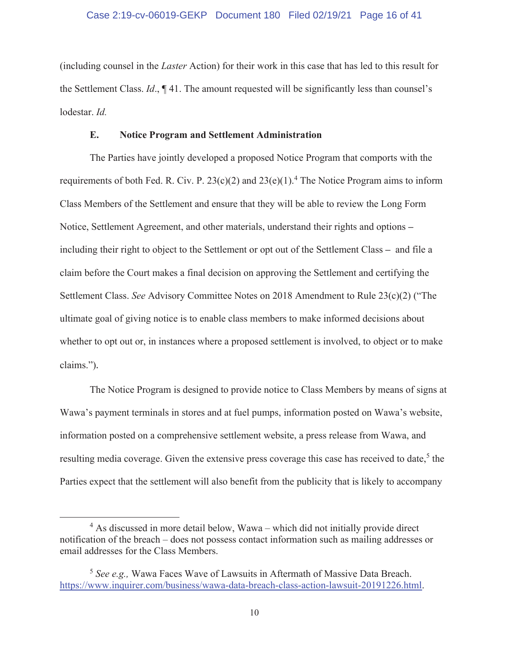(including counsel in the *Laster* Action) for their work in this case that has led to this result for the Settlement Class. *Id*., ¶ 41. The amount requested will be significantly less than counsel's lodestar. *Id.*

#### **E. Notice Program and Settlement Administration**

The Parties have jointly developed a proposed Notice Program that comports with the requirements of both Fed. R. Civ. P.  $23(c)(2)$  and  $23(e)(1)$ .<sup>4</sup> The Notice Program aims to inform Class Members of the Settlement and ensure that they will be able to review the Long Form Notice, Settlement Agreement, and other materials, understand their rights and options **–** including their right to object to the Settlement or opt out of the Settlement Class **–** and file a claim before the Court makes a final decision on approving the Settlement and certifying the Settlement Class. *See* Advisory Committee Notes on 2018 Amendment to Rule 23(c)(2) ("The ultimate goal of giving notice is to enable class members to make informed decisions about whether to opt out or, in instances where a proposed settlement is involved, to object or to make claims.").

The Notice Program is designed to provide notice to Class Members by means of signs at Wawa's payment terminals in stores and at fuel pumps, information posted on Wawa's website, information posted on a comprehensive settlement website, a press release from Wawa, and resulting media coverage. Given the extensive press coverage this case has received to date,<sup>5</sup> the Parties expect that the settlement will also benefit from the publicity that is likely to accompany

<sup>&</sup>lt;sup>4</sup> As discussed in more detail below, Wawa – which did not initially provide direct notification of the breach – does not possess contact information such as mailing addresses or email addresses for the Class Members.

<sup>5</sup> *See e.g.,* Wawa Faces Wave of Lawsuits in Aftermath of Massive Data Breach. https://www.inquirer.com/business/wawa-data-breach-class-action-lawsuit-20191226.html.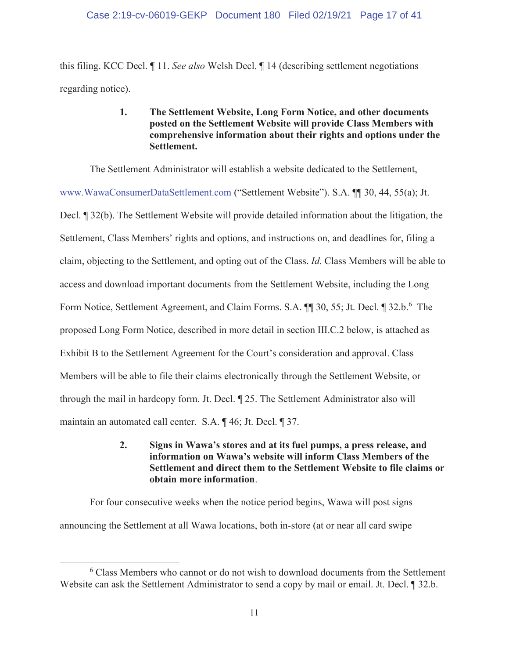this filing. KCC Decl. ¶ 11. *See also* Welsh Decl. ¶ 14 (describing settlement negotiations regarding notice).

### **1. The Settlement Website, Long Form Notice, and other documents posted on the Settlement Website will provide Class Members with comprehensive information about their rights and options under the Settlement.**

The Settlement Administrator will establish a website dedicated to the Settlement, www.WawaConsumerDataSettlement.com ("Settlement Website"). S.A. ¶¶ 30, 44, 55(a); Jt. Decl. ¶ 32(b). The Settlement Website will provide detailed information about the litigation, the Settlement, Class Members' rights and options, and instructions on, and deadlines for, filing a claim, objecting to the Settlement, and opting out of the Class. *Id.* Class Members will be able to access and download important documents from the Settlement Website, including the Long Form Notice, Settlement Agreement, and Claim Forms. S.A.  $\P$  30, 55; Jt. Decl.  $\P$  32.b.<sup>6</sup> The proposed Long Form Notice, described in more detail in section III.C.2 below, is attached as Exhibit B to the Settlement Agreement for the Court's consideration and approval. Class Members will be able to file their claims electronically through the Settlement Website, or through the mail in hardcopy form. Jt. Decl. ¶ 25. The Settlement Administrator also will maintain an automated call center. S.A. ¶ 46; Jt. Decl. ¶ 37.

> **2. Signs in Wawa's stores and at its fuel pumps, a press release, and information on Wawa's website will inform Class Members of the Settlement and direct them to the Settlement Website to file claims or obtain more information**.

For four consecutive weeks when the notice period begins, Wawa will post signs announcing the Settlement at all Wawa locations, both in-store (at or near all card swipe

<sup>6</sup> Class Members who cannot or do not wish to download documents from the Settlement Website can ask the Settlement Administrator to send a copy by mail or email. Jt. Decl. ¶ 32.b.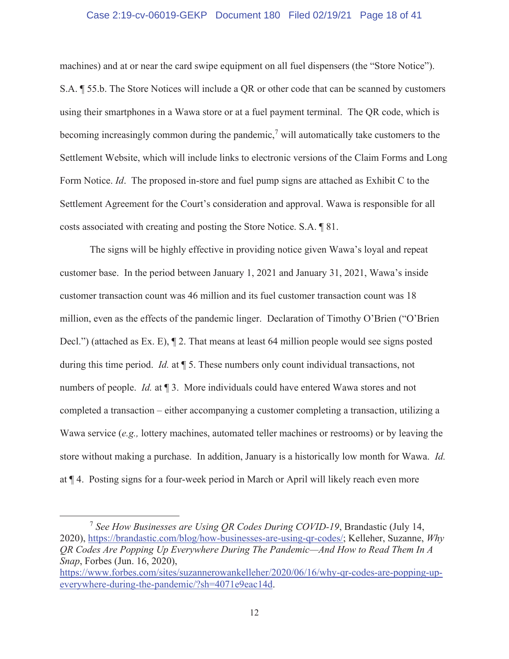#### Case 2:19-cv-06019-GEKP Document 180 Filed 02/19/21 Page 18 of 41

machines) and at or near the card swipe equipment on all fuel dispensers (the "Store Notice"). S.A. ¶ 55.b. The Store Notices will include a QR or other code that can be scanned by customers using their smartphones in a Wawa store or at a fuel payment terminal. The QR code, which is becoming increasingly common during the pandemic,<sup>7</sup> will automatically take customers to the Settlement Website, which will include links to electronic versions of the Claim Forms and Long Form Notice. *Id*. The proposed in-store and fuel pump signs are attached as Exhibit C to the Settlement Agreement for the Court's consideration and approval. Wawa is responsible for all costs associated with creating and posting the Store Notice. S.A. ¶ 81.

The signs will be highly effective in providing notice given Wawa's loyal and repeat customer base. In the period between January 1, 2021 and January 31, 2021, Wawa's inside customer transaction count was 46 million and its fuel customer transaction count was 18 million, even as the effects of the pandemic linger. Declaration of Timothy O'Brien ("O'Brien Decl.") (attached as Ex. E),  $\P$  2. That means at least 64 million people would see signs posted during this time period. *Id.* at ¶ 5. These numbers only count individual transactions, not numbers of people. *Id.* at 13. More individuals could have entered Wawa stores and not completed a transaction – either accompanying a customer completing a transaction, utilizing a Wawa service (*e.g.,* lottery machines, automated teller machines or restrooms) or by leaving the store without making a purchase. In addition, January is a historically low month for Wawa. *Id.* at ¶ 4. Posting signs for a four-week period in March or April will likely reach even more

<sup>7</sup> *See How Businesses are Using QR Codes During COVID-19*, Brandastic (July 14, 2020), https://brandastic.com/blog/how-businesses-are-using-qr-codes/; Kelleher, Suzanne, *Why QR Codes Are Popping Up Everywhere During The Pandemic—And How to Read Them In A Snap*, Forbes (Jun. 16, 2020),

https://www.forbes.com/sites/suzannerowankelleher/2020/06/16/why-qr-codes-are-popping-upeverywhere-during-the-pandemic/?sh=4071e9eac14d.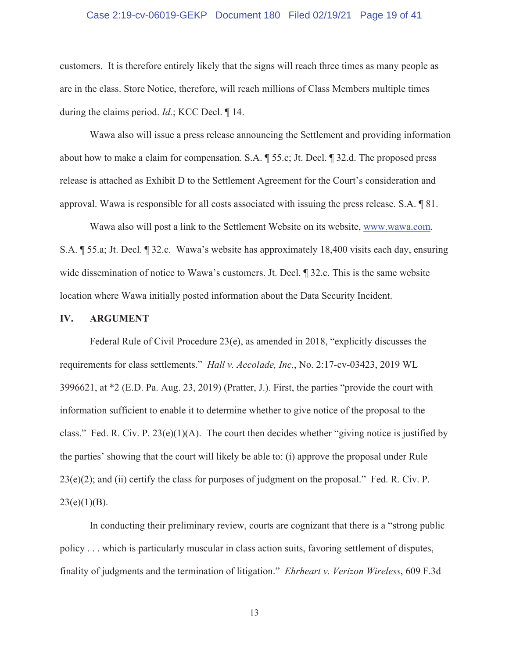#### Case 2:19-cv-06019-GEKP Document 180 Filed 02/19/21 Page 19 of 41

customers. It is therefore entirely likely that the signs will reach three times as many people as are in the class. Store Notice, therefore, will reach millions of Class Members multiple times during the claims period. *Id.*; KCC Decl. ¶ 14.

Wawa also will issue a press release announcing the Settlement and providing information about how to make a claim for compensation. S.A. ¶ 55.c; Jt. Decl. ¶ 32.d. The proposed press release is attached as Exhibit D to the Settlement Agreement for the Court's consideration and approval. Wawa is responsible for all costs associated with issuing the press release. S.A. ¶ 81.

Wawa also will post a link to the Settlement Website on its website, www.wawa.com. S.A. ¶ 55.a; Jt. Decl. ¶ 32.c. Wawa's website has approximately 18,400 visits each day, ensuring wide dissemination of notice to Wawa's customers. Jt. Decl. ¶ 32.c. This is the same website location where Wawa initially posted information about the Data Security Incident.

#### **IV. ARGUMENT**

Federal Rule of Civil Procedure 23(e), as amended in 2018, "explicitly discusses the requirements for class settlements." *Hall v. Accolade, Inc.*, No. 2:17-cv-03423, 2019 WL 3996621, at \*2 (E.D. Pa. Aug. 23, 2019) (Pratter, J.). First, the parties "provide the court with information sufficient to enable it to determine whether to give notice of the proposal to the class." Fed. R. Civ. P.  $23(e)(1)(A)$ . The court then decides whether "giving notice is justified by the parties' showing that the court will likely be able to: (i) approve the proposal under Rule  $23(e)(2)$ ; and (ii) certify the class for purposes of judgment on the proposal." Fed. R. Civ. P.  $23(e)(1)(B)$ .

In conducting their preliminary review, courts are cognizant that there is a "strong public policy . . . which is particularly muscular in class action suits, favoring settlement of disputes, finality of judgments and the termination of litigation." *Ehrheart v. Verizon Wireless*, 609 F.3d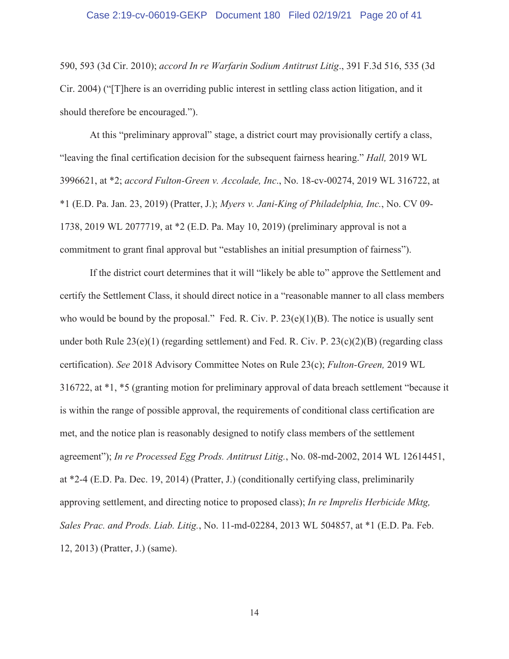#### Case 2:19-cv-06019-GEKP Document 180 Filed 02/19/21 Page 20 of 41

590, 593 (3d Cir. 2010); *accord In re Warfarin Sodium Antitrust Litig*., 391 F.3d 516, 535 (3d Cir. 2004) ("[T]here is an overriding public interest in settling class action litigation, and it should therefore be encouraged.").

At this "preliminary approval" stage, a district court may provisionally certify a class, "leaving the final certification decision for the subsequent fairness hearing." *Hall,* 2019 WL 3996621, at \*2; *accord Fulton-Green v. Accolade, Inc*., No. 18-cv-00274, 2019 WL 316722, at \*1 (E.D. Pa. Jan. 23, 2019) (Pratter, J.); *Myers v. Jani-King of Philadelphia, Inc.*, No. CV 09- 1738, 2019 WL 2077719, at \*2 (E.D. Pa. May 10, 2019) (preliminary approval is not a commitment to grant final approval but "establishes an initial presumption of fairness").

If the district court determines that it will "likely be able to" approve the Settlement and certify the Settlement Class, it should direct notice in a "reasonable manner to all class members who would be bound by the proposal." Fed. R. Civ. P.  $23(e)(1)(B)$ . The notice is usually sent under both Rule 23(e)(1) (regarding settlement) and Fed. R. Civ. P. 23(c)(2)(B) (regarding class certification). *See* 2018 Advisory Committee Notes on Rule 23(c); *Fulton-Green,* 2019 WL 316722, at \*1, \*5 (granting motion for preliminary approval of data breach settlement "because it is within the range of possible approval, the requirements of conditional class certification are met, and the notice plan is reasonably designed to notify class members of the settlement agreement"); *In re Processed Egg Prods. Antitrust Litig.*, No. 08-md-2002, 2014 WL 12614451, at \*2-4 (E.D. Pa. Dec. 19, 2014) (Pratter, J.) (conditionally certifying class, preliminarily approving settlement, and directing notice to proposed class); *In re Imprelis Herbicide Mktg, Sales Prac. and Prods. Liab. Litig.*, No. 11-md-02284, 2013 WL 504857, at \*1 (E.D. Pa. Feb. 12, 2013) (Pratter, J.) (same).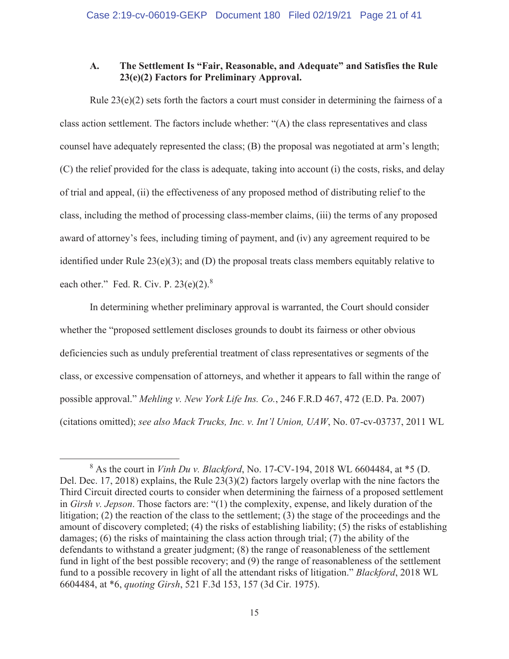### **A. The Settlement Is "Fair, Reasonable, and Adequate" and Satisfies the Rule 23(e)(2) Factors for Preliminary Approval.**

 Rule 23(e)(2) sets forth the factors a court must consider in determining the fairness of a class action settlement. The factors include whether: "(A) the class representatives and class counsel have adequately represented the class; (B) the proposal was negotiated at arm's length; (C) the relief provided for the class is adequate, taking into account (i) the costs, risks, and delay of trial and appeal, (ii) the effectiveness of any proposed method of distributing relief to the class, including the method of processing class-member claims, (iii) the terms of any proposed award of attorney's fees, including timing of payment, and (iv) any agreement required to be identified under Rule 23(e)(3); and (D) the proposal treats class members equitably relative to each other." Fed. R. Civ. P.  $23(e)(2)$ .<sup>8</sup>

In determining whether preliminary approval is warranted, the Court should consider whether the "proposed settlement discloses grounds to doubt its fairness or other obvious deficiencies such as unduly preferential treatment of class representatives or segments of the class, or excessive compensation of attorneys, and whether it appears to fall within the range of possible approval." *Mehling v. New York Life Ins. Co.*, 246 F.R.D 467, 472 (E.D. Pa. 2007) (citations omitted); *see also Mack Trucks, Inc. v. Int'l Union, UAW*, No. 07-cv-03737, 2011 WL

<sup>8</sup> As the court in *Vinh Du v. Blackford*, No. 17-CV-194, 2018 WL 6604484, at \*5 (D. Del. Dec. 17, 2018) explains, the Rule 23(3)(2) factors largely overlap with the nine factors the Third Circuit directed courts to consider when determining the fairness of a proposed settlement in *Girsh v. Jepson*. Those factors are: "(1) the complexity, expense, and likely duration of the litigation; (2) the reaction of the class to the settlement; (3) the stage of the proceedings and the amount of discovery completed; (4) the risks of establishing liability; (5) the risks of establishing damages; (6) the risks of maintaining the class action through trial; (7) the ability of the defendants to withstand a greater judgment; (8) the range of reasonableness of the settlement fund in light of the best possible recovery; and (9) the range of reasonableness of the settlement fund to a possible recovery in light of all the attendant risks of litigation." *Blackford*, 2018 WL 6604484, at \*6, *quoting Girsh*, 521 F.3d 153, 157 (3d Cir. 1975).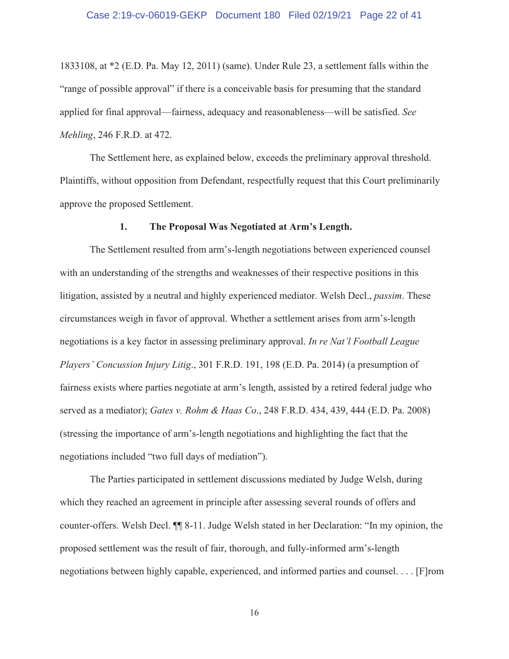#### Case 2:19-cv-06019-GEKP Document 180 Filed 02/19/21 Page 22 of 41

1833108, at \*2 (E.D. Pa. May 12, 2011) (same). Under Rule 23, a settlement falls within the "range of possible approval" if there is a conceivable basis for presuming that the standard applied for final approval—fairness, adequacy and reasonableness—will be satisfied. *See Mehling*, 246 F.R.D. at 472.

 The Settlement here, as explained below, exceeds the preliminary approval threshold. Plaintiffs, without opposition from Defendant, respectfully request that this Court preliminarily approve the proposed Settlement.

#### **1. The Proposal Was Negotiated at Arm's Length.**

 The Settlement resulted from arm's-length negotiations between experienced counsel with an understanding of the strengths and weaknesses of their respective positions in this litigation, assisted by a neutral and highly experienced mediator. Welsh Decl., *passim*. These circumstances weigh in favor of approval. Whether a settlement arises from arm's-length negotiations is a key factor in assessing preliminary approval. *In re Nat'l Football League Players' Concussion Injury Litig*., 301 F.R.D. 191, 198 (E.D. Pa. 2014) (a presumption of fairness exists where parties negotiate at arm's length, assisted by a retired federal judge who served as a mediator); *Gates v. Rohm & Haas Co*., 248 F.R.D. 434, 439, 444 (E.D. Pa. 2008) (stressing the importance of arm's-length negotiations and highlighting the fact that the negotiations included "two full days of mediation").

 The Parties participated in settlement discussions mediated by Judge Welsh, during which they reached an agreement in principle after assessing several rounds of offers and counter-offers. Welsh Decl. ¶¶ 8-11. Judge Welsh stated in her Declaration: "In my opinion, the proposed settlement was the result of fair, thorough, and fully-informed arm's-length negotiations between highly capable, experienced, and informed parties and counsel. . . . [F]rom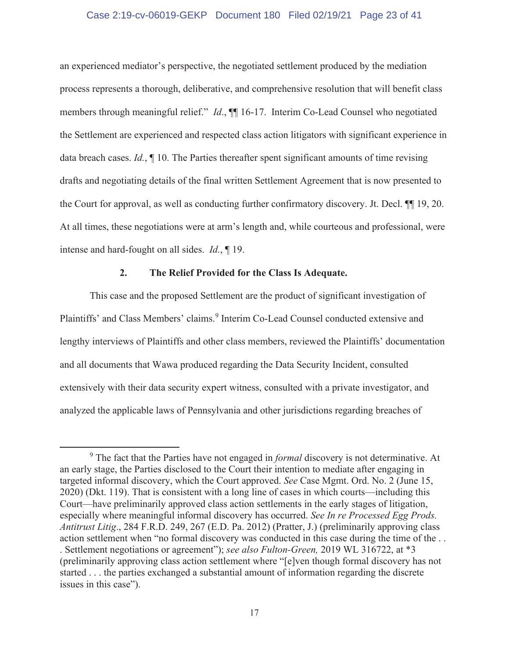#### Case 2:19-cv-06019-GEKP Document 180 Filed 02/19/21 Page 23 of 41

an experienced mediator's perspective, the negotiated settlement produced by the mediation process represents a thorough, deliberative, and comprehensive resolution that will benefit class members through meaningful relief." *Id*., ¶¶ 16-17. Interim Co-Lead Counsel who negotiated the Settlement are experienced and respected class action litigators with significant experience in data breach cases. *Id.*, ¶ 10. The Parties thereafter spent significant amounts of time revising drafts and negotiating details of the final written Settlement Agreement that is now presented to the Court for approval, as well as conducting further confirmatory discovery. Jt. Decl. ¶¶ 19, 20. At all times, these negotiations were at arm's length and, while courteous and professional, were intense and hard-fought on all sides. *Id.*, ¶ 19.

### **2. The Relief Provided for the Class Is Adequate.**

This case and the proposed Settlement are the product of significant investigation of Plaintiffs' and Class Members' claims.<sup>9</sup> Interim Co-Lead Counsel conducted extensive and lengthy interviews of Plaintiffs and other class members, reviewed the Plaintiffs' documentation and all documents that Wawa produced regarding the Data Security Incident, consulted extensively with their data security expert witness, consulted with a private investigator, and analyzed the applicable laws of Pennsylvania and other jurisdictions regarding breaches of

<sup>9</sup> The fact that the Parties have not engaged in *formal* discovery is not determinative. At an early stage, the Parties disclosed to the Court their intention to mediate after engaging in targeted informal discovery, which the Court approved. *See* Case Mgmt. Ord. No. 2 (June 15, 2020) (Dkt. 119). That is consistent with a long line of cases in which courts—including this Court—have preliminarily approved class action settlements in the early stages of litigation, especially where meaningful informal discovery has occurred. *See In re Processed Egg Prods. Antitrust Litig*., 284 F.R.D. 249, 267 (E.D. Pa. 2012) (Pratter, J.) (preliminarily approving class action settlement when "no formal discovery was conducted in this case during the time of the . . . Settlement negotiations or agreement"); *see also Fulton-Green,* 2019 WL 316722, at \*3 (preliminarily approving class action settlement where "[e]ven though formal discovery has not started . . . the parties exchanged a substantial amount of information regarding the discrete issues in this case").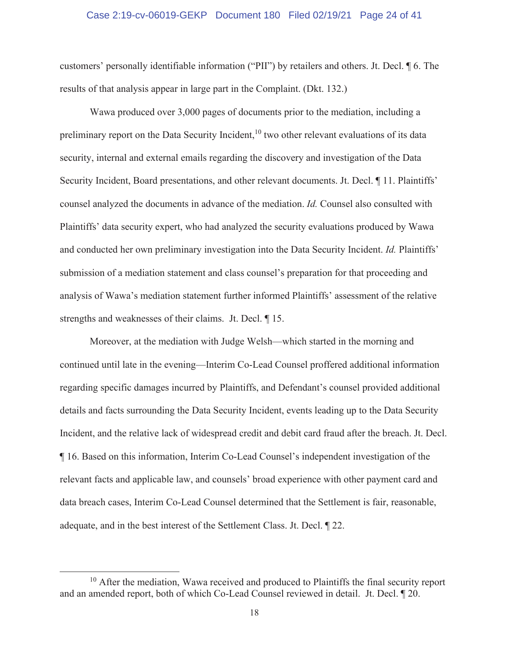#### Case 2:19-cv-06019-GEKP Document 180 Filed 02/19/21 Page 24 of 41

customers' personally identifiable information ("PII") by retailers and others. Jt. Decl. ¶ 6. The results of that analysis appear in large part in the Complaint. (Dkt. 132.)

Wawa produced over 3,000 pages of documents prior to the mediation, including a preliminary report on the Data Security Incident,<sup>10</sup> two other relevant evaluations of its data security, internal and external emails regarding the discovery and investigation of the Data Security Incident, Board presentations, and other relevant documents. Jt. Decl. ¶ 11. Plaintiffs' counsel analyzed the documents in advance of the mediation. *Id.* Counsel also consulted with Plaintiffs' data security expert, who had analyzed the security evaluations produced by Wawa and conducted her own preliminary investigation into the Data Security Incident. *Id.* Plaintiffs' submission of a mediation statement and class counsel's preparation for that proceeding and analysis of Wawa's mediation statement further informed Plaintiffs' assessment of the relative strengths and weaknesses of their claims. Jt. Decl. ¶ 15.

Moreover, at the mediation with Judge Welsh—which started in the morning and continued until late in the evening—Interim Co-Lead Counsel proffered additional information regarding specific damages incurred by Plaintiffs, and Defendant's counsel provided additional details and facts surrounding the Data Security Incident, events leading up to the Data Security Incident, and the relative lack of widespread credit and debit card fraud after the breach. Jt. Decl. ¶ 16. Based on this information, Interim Co-Lead Counsel's independent investigation of the relevant facts and applicable law, and counsels' broad experience with other payment card and data breach cases, Interim Co-Lead Counsel determined that the Settlement is fair, reasonable, adequate, and in the best interest of the Settlement Class. Jt. Decl. ¶ 22.

 $10$  After the mediation, Wawa received and produced to Plaintiffs the final security report and an amended report, both of which Co-Lead Counsel reviewed in detail. Jt. Decl. ¶ 20.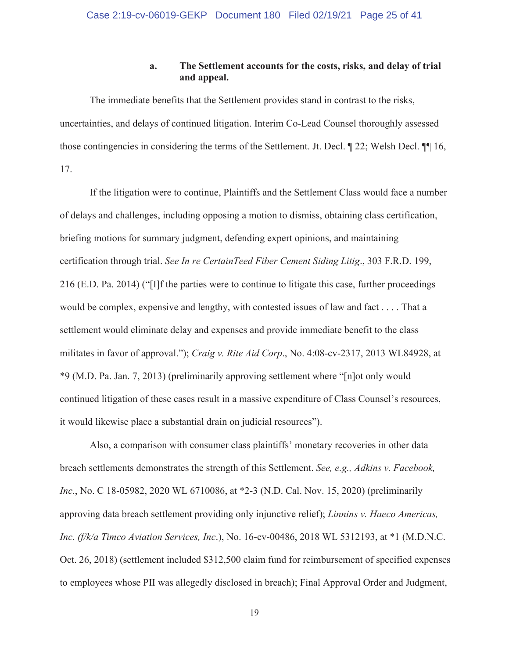### **a. The Settlement accounts for the costs, risks, and delay of trial and appeal.**

 The immediate benefits that the Settlement provides stand in contrast to the risks, uncertainties, and delays of continued litigation. Interim Co-Lead Counsel thoroughly assessed those contingencies in considering the terms of the Settlement. Jt. Decl. ¶ 22; Welsh Decl. ¶¶ 16, 17.

 If the litigation were to continue, Plaintiffs and the Settlement Class would face a number of delays and challenges, including opposing a motion to dismiss, obtaining class certification, briefing motions for summary judgment, defending expert opinions, and maintaining certification through trial. *See In re CertainTeed Fiber Cement Siding Litig*., 303 F.R.D. 199, 216 (E.D. Pa. 2014) ("[I]f the parties were to continue to litigate this case, further proceedings would be complex, expensive and lengthy, with contested issues of law and fact . . . . That a settlement would eliminate delay and expenses and provide immediate benefit to the class militates in favor of approval."); *Craig v. Rite Aid Corp*., No. 4:08-cv-2317, 2013 WL84928, at \*9 (M.D. Pa. Jan. 7, 2013) (preliminarily approving settlement where "[n]ot only would continued litigation of these cases result in a massive expenditure of Class Counsel's resources, it would likewise place a substantial drain on judicial resources").

 Also, a comparison with consumer class plaintiffs' monetary recoveries in other data breach settlements demonstrates the strength of this Settlement. *See, e.g., Adkins v. Facebook, Inc.*, No. C 18-05982, 2020 WL 6710086, at \*2-3 (N.D. Cal. Nov. 15, 2020) (preliminarily approving data breach settlement providing only injunctive relief); *Linnins v. Haeco Americas, Inc. (f/k/a Timco Aviation Services, Inc*.), No. 16-cv-00486, 2018 WL 5312193, at \*1 (M.D.N.C. Oct. 26, 2018) (settlement included \$312,500 claim fund for reimbursement of specified expenses to employees whose PII was allegedly disclosed in breach); Final Approval Order and Judgment,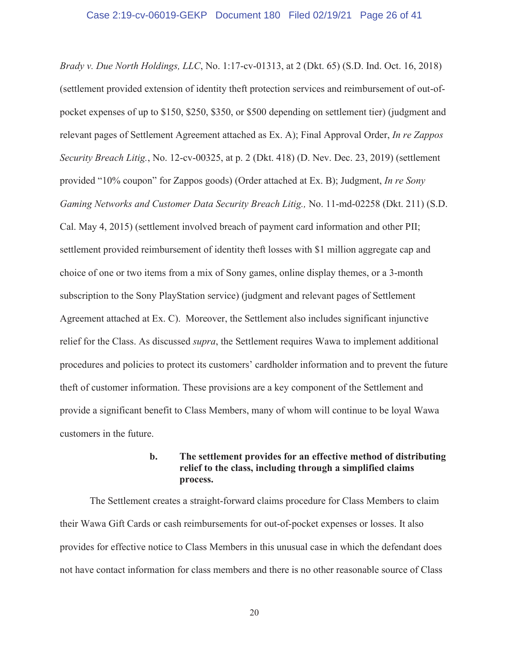*Brady v. Due North Holdings, LLC*, No. 1:17-cv-01313, at 2 (Dkt. 65) (S.D. Ind. Oct. 16, 2018) (settlement provided extension of identity theft protection services and reimbursement of out-ofpocket expenses of up to \$150, \$250, \$350, or \$500 depending on settlement tier) (judgment and relevant pages of Settlement Agreement attached as Ex. A); Final Approval Order, *In re Zappos Security Breach Litig.*, No. 12-cv-00325, at p. 2 (Dkt. 418) (D. Nev. Dec. 23, 2019) (settlement provided "10% coupon" for Zappos goods) (Order attached at Ex. B); Judgment, *In re Sony Gaming Networks and Customer Data Security Breach Litig.,* No. 11-md-02258 (Dkt. 211) (S.D. Cal. May 4, 2015) (settlement involved breach of payment card information and other PII; settlement provided reimbursement of identity theft losses with \$1 million aggregate cap and choice of one or two items from a mix of Sony games, online display themes, or a 3-month subscription to the Sony PlayStation service) (judgment and relevant pages of Settlement Agreement attached at Ex. C). Moreover, the Settlement also includes significant injunctive relief for the Class. As discussed *supra*, the Settlement requires Wawa to implement additional procedures and policies to protect its customers' cardholder information and to prevent the future theft of customer information. These provisions are a key component of the Settlement and provide a significant benefit to Class Members, many of whom will continue to be loyal Wawa customers in the future.

### **b. The settlement provides for an effective method of distributing relief to the class, including through a simplified claims process.**

The Settlement creates a straight-forward claims procedure for Class Members to claim their Wawa Gift Cards or cash reimbursements for out-of-pocket expenses or losses. It also provides for effective notice to Class Members in this unusual case in which the defendant does not have contact information for class members and there is no other reasonable source of Class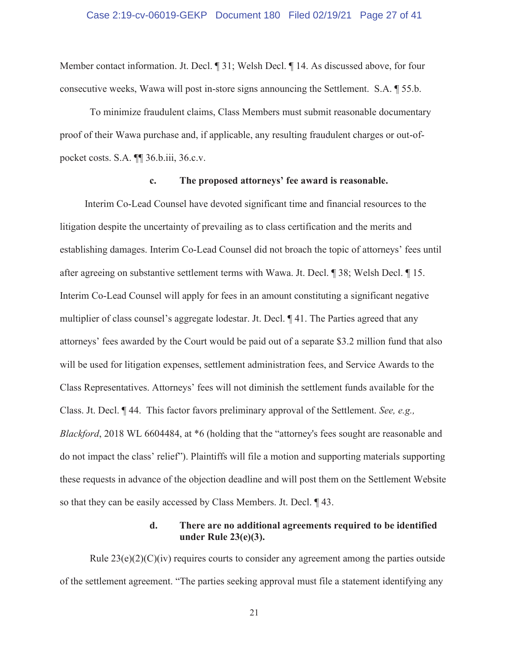#### Case 2:19-cv-06019-GEKP Document 180 Filed 02/19/21 Page 27 of 41

Member contact information. Jt. Decl. ¶ 31; Welsh Decl. ¶ 14. As discussed above, for four consecutive weeks, Wawa will post in-store signs announcing the Settlement. S.A. ¶ 55.b.

To minimize fraudulent claims, Class Members must submit reasonable documentary proof of their Wawa purchase and, if applicable, any resulting fraudulent charges or out-ofpocket costs. S.A. ¶¶ 36.b.iii, 36.c.v.

#### **c. The proposed attorneys' fee award is reasonable.**

Interim Co-Lead Counsel have devoted significant time and financial resources to the litigation despite the uncertainty of prevailing as to class certification and the merits and establishing damages. Interim Co-Lead Counsel did not broach the topic of attorneys' fees until after agreeing on substantive settlement terms with Wawa. Jt. Decl. ¶ 38; Welsh Decl. ¶ 15. Interim Co-Lead Counsel will apply for fees in an amount constituting a significant negative multiplier of class counsel's aggregate lodestar. Jt. Decl. ¶ 41. The Parties agreed that any attorneys' fees awarded by the Court would be paid out of a separate \$3.2 million fund that also will be used for litigation expenses, settlement administration fees, and Service Awards to the Class Representatives. Attorneys' fees will not diminish the settlement funds available for the Class. Jt. Decl. ¶ 44. This factor favors preliminary approval of the Settlement. *See, e.g., Blackford*, 2018 WL 6604484, at \*6 (holding that the "attorney's fees sought are reasonable and do not impact the class' relief"). Plaintiffs will file a motion and supporting materials supporting these requests in advance of the objection deadline and will post them on the Settlement Website so that they can be easily accessed by Class Members. Jt. Decl. ¶ 43.

### **d. There are no additional agreements required to be identified under Rule 23(e)(3).**

Rule  $23(e)(2)(C)(iv)$  requires courts to consider any agreement among the parties outside of the settlement agreement. "The parties seeking approval must file a statement identifying any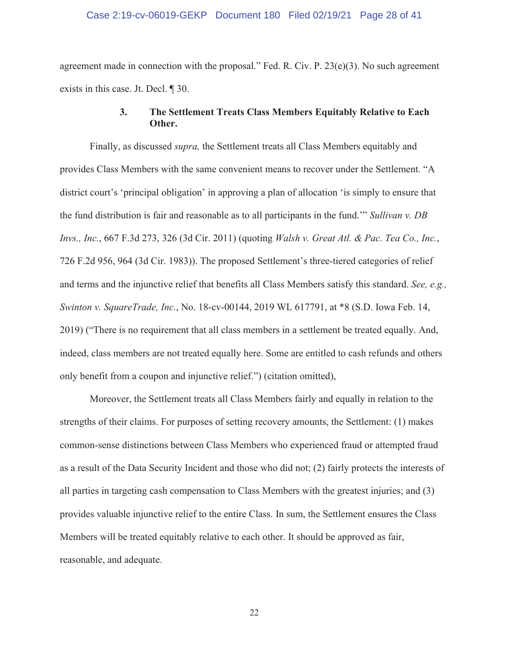#### Case 2:19-cv-06019-GEKP Document 180 Filed 02/19/21 Page 28 of 41

agreement made in connection with the proposal." Fed. R. Civ. P. 23(e)(3). No such agreement exists in this case. Jt. Decl. ¶ 30.

### **3. The Settlement Treats Class Members Equitably Relative to Each Other.**

Finally, as discussed *supra,* the Settlement treats all Class Members equitably and provides Class Members with the same convenient means to recover under the Settlement. "A district court's 'principal obligation' in approving a plan of allocation 'is simply to ensure that the fund distribution is fair and reasonable as to all participants in the fund.'" *Sullivan v. DB Invs., Inc.*, 667 F.3d 273, 326 (3d Cir. 2011) (quoting *Walsh v. Great Atl. & Pac. Tea Co., Inc.*, 726 F.2d 956, 964 (3d Cir. 1983)). The proposed Settlement's three-tiered categories of relief and terms and the injunctive relief that benefits all Class Members satisfy this standard. *See, e.g., Swinton v. SquareTrade, Inc.*, No. 18-cv-00144, 2019 WL 617791, at \*8 (S.D. Iowa Feb. 14, 2019) ("There is no requirement that all class members in a settlement be treated equally. And, indeed, class members are not treated equally here. Some are entitled to cash refunds and others only benefit from a coupon and injunctive relief.") (citation omitted),

Moreover, the Settlement treats all Class Members fairly and equally in relation to the strengths of their claims. For purposes of setting recovery amounts, the Settlement: (1) makes common-sense distinctions between Class Members who experienced fraud or attempted fraud as a result of the Data Security Incident and those who did not; (2) fairly protects the interests of all parties in targeting cash compensation to Class Members with the greatest injuries; and (3) provides valuable injunctive relief to the entire Class. In sum, the Settlement ensures the Class Members will be treated equitably relative to each other. It should be approved as fair, reasonable, and adequate.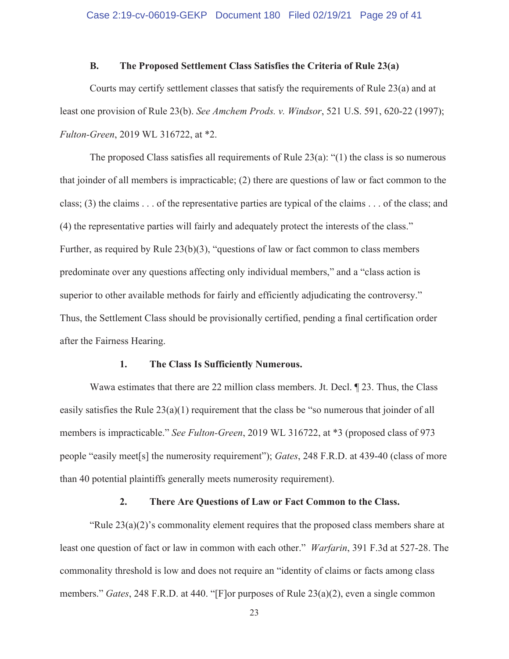#### **B. The Proposed Settlement Class Satisfies the Criteria of Rule 23(a)**

Courts may certify settlement classes that satisfy the requirements of Rule 23(a) and at least one provision of Rule 23(b). *See Amchem Prods. v. Windsor*, 521 U.S. 591, 620-22 (1997); *Fulton-Green*, 2019 WL 316722, at \*2.

The proposed Class satisfies all requirements of Rule  $23(a)$ : "(1) the class is so numerous that joinder of all members is impracticable; (2) there are questions of law or fact common to the class; (3) the claims . . . of the representative parties are typical of the claims . . . of the class; and (4) the representative parties will fairly and adequately protect the interests of the class." Further, as required by Rule 23(b)(3), "questions of law or fact common to class members predominate over any questions affecting only individual members," and a "class action is superior to other available methods for fairly and efficiently adjudicating the controversy." Thus, the Settlement Class should be provisionally certified, pending a final certification order after the Fairness Hearing.

#### **1. The Class Is Sufficiently Numerous.**

Wawa estimates that there are 22 million class members. Jt. Decl.  $\parallel$  23. Thus, the Class easily satisfies the Rule 23(a)(1) requirement that the class be "so numerous that joinder of all members is impracticable." *See Fulton-Green*, 2019 WL 316722, at \*3 (proposed class of 973 people "easily meet[s] the numerosity requirement"); *Gates*, 248 F.R.D. at 439-40 (class of more than 40 potential plaintiffs generally meets numerosity requirement).

#### **2. There Are Questions of Law or Fact Common to the Class.**

"Rule  $23(a)(2)$ 's commonality element requires that the proposed class members share at least one question of fact or law in common with each other." *Warfarin*, 391 F.3d at 527-28. The commonality threshold is low and does not require an "identity of claims or facts among class members." *Gates*, 248 F.R.D. at 440. "[F]or purposes of Rule 23(a)(2), even a single common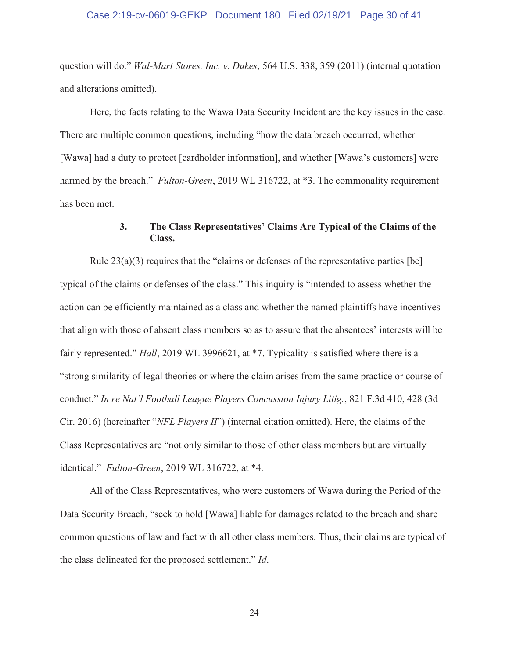#### Case 2:19-cv-06019-GEKP Document 180 Filed 02/19/21 Page 30 of 41

question will do." *Wal-Mart Stores, Inc. v. Dukes*, 564 U.S. 338, 359 (2011) (internal quotation and alterations omitted).

Here, the facts relating to the Wawa Data Security Incident are the key issues in the case. There are multiple common questions, including "how the data breach occurred, whether [Wawa] had a duty to protect [cardholder information], and whether [Wawa's customers] were harmed by the breach." *Fulton-Green*, 2019 WL 316722, at \*3. The commonality requirement has been met.

### **3. The Class Representatives' Claims Are Typical of the Claims of the Class.**

Rule  $23(a)(3)$  requires that the "claims or defenses of the representative parties [be] typical of the claims or defenses of the class." This inquiry is "intended to assess whether the action can be efficiently maintained as a class and whether the named plaintiffs have incentives that align with those of absent class members so as to assure that the absentees' interests will be fairly represented." *Hall*, 2019 WL 3996621, at \*7. Typicality is satisfied where there is a "strong similarity of legal theories or where the claim arises from the same practice or course of conduct." *In re Nat'l Football League Players Concussion Injury Litig.*, 821 F.3d 410, 428 (3d Cir. 2016) (hereinafter "*NFL Players II*") (internal citation omitted). Here, the claims of the Class Representatives are "not only similar to those of other class members but are virtually identical." *Fulton-Green*, 2019 WL 316722, at \*4.

All of the Class Representatives, who were customers of Wawa during the Period of the Data Security Breach, "seek to hold [Wawa] liable for damages related to the breach and share common questions of law and fact with all other class members. Thus, their claims are typical of the class delineated for the proposed settlement." *Id*.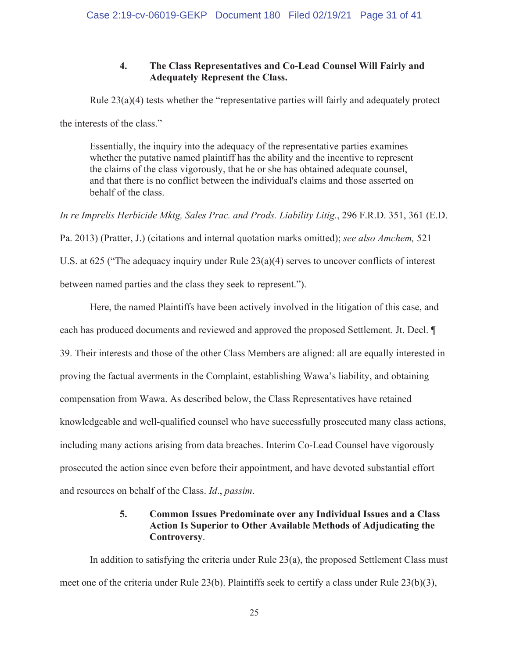### **4. The Class Representatives and Co-Lead Counsel Will Fairly and Adequately Represent the Class.**

Rule 23(a)(4) tests whether the "representative parties will fairly and adequately protect the interests of the class."

Essentially, the inquiry into the adequacy of the representative parties examines whether the putative named plaintiff has the ability and the incentive to represent the claims of the class vigorously, that he or she has obtained adequate counsel, and that there is no conflict between the individual's claims and those asserted on behalf of the class.

*In re Imprelis Herbicide Mktg, Sales Prac. and Prods. Liability Litig.*, 296 F.R.D. 351, 361 (E.D. Pa. 2013) (Pratter, J.) (citations and internal quotation marks omitted); *see also Amchem,* 521 U.S. at 625 ("The adequacy inquiry under Rule  $23(a)(4)$  serves to uncover conflicts of interest between named parties and the class they seek to represent.").

Here, the named Plaintiffs have been actively involved in the litigation of this case, and each has produced documents and reviewed and approved the proposed Settlement. Jt. Decl. ¶ 39. Their interests and those of the other Class Members are aligned: all are equally interested in proving the factual averments in the Complaint, establishing Wawa's liability, and obtaining compensation from Wawa. As described below, the Class Representatives have retained knowledgeable and well-qualified counsel who have successfully prosecuted many class actions, including many actions arising from data breaches. Interim Co-Lead Counsel have vigorously prosecuted the action since even before their appointment, and have devoted substantial effort and resources on behalf of the Class. *Id*., *passim*.

### **5. Common Issues Predominate over any Individual Issues and a Class Action Is Superior to Other Available Methods of Adjudicating the Controversy**.

In addition to satisfying the criteria under Rule  $23(a)$ , the proposed Settlement Class must meet one of the criteria under Rule 23(b). Plaintiffs seek to certify a class under Rule 23(b)(3),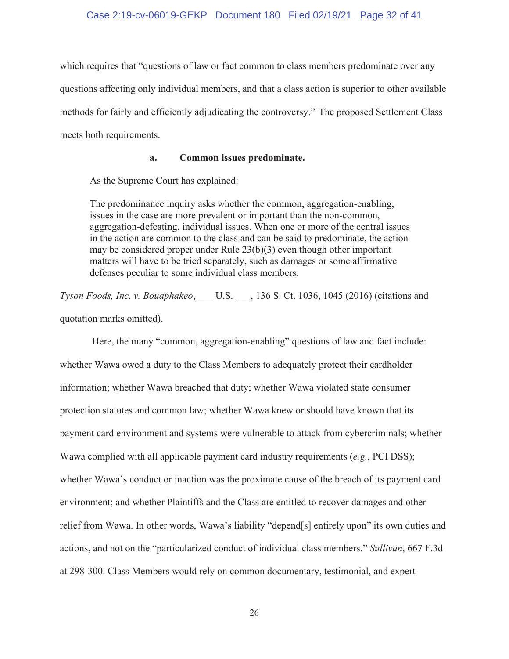#### Case 2:19-cv-06019-GEKP Document 180 Filed 02/19/21 Page 32 of 41

which requires that "questions of law or fact common to class members predominate over any questions affecting only individual members, and that a class action is superior to other available methods for fairly and efficiently adjudicating the controversy." The proposed Settlement Class meets both requirements.

#### **a. Common issues predominate.**

As the Supreme Court has explained:

The predominance inquiry asks whether the common, aggregation-enabling, issues in the case are more prevalent or important than the non-common, aggregation-defeating, individual issues. When one or more of the central issues in the action are common to the class and can be said to predominate, the action may be considered proper under Rule 23(b)(3) even though other important matters will have to be tried separately, such as damages or some affirmative defenses peculiar to some individual class members.

*Tyson Foods, Inc. v. Bouaphakeo*, \_\_\_ U.S. \_\_\_, 136 S. Ct. 1036, 1045 (2016) (citations and quotation marks omitted).

Here, the many "common, aggregation-enabling" questions of law and fact include: whether Wawa owed a duty to the Class Members to adequately protect their cardholder information; whether Wawa breached that duty; whether Wawa violated state consumer protection statutes and common law; whether Wawa knew or should have known that its payment card environment and systems were vulnerable to attack from cybercriminals; whether Wawa complied with all applicable payment card industry requirements (*e.g.*, PCI DSS); whether Wawa's conduct or inaction was the proximate cause of the breach of its payment card environment; and whether Plaintiffs and the Class are entitled to recover damages and other relief from Wawa. In other words, Wawa's liability "depend[s] entirely upon" its own duties and actions, and not on the "particularized conduct of individual class members." *Sullivan*, 667 F.3d at 298-300. Class Members would rely on common documentary, testimonial, and expert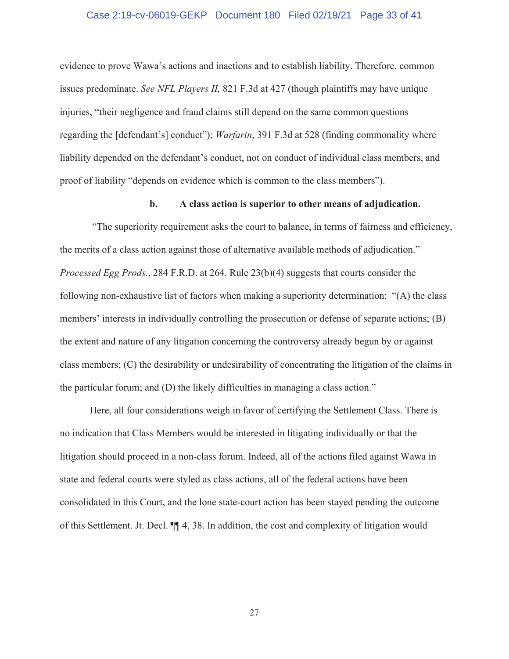#### Case 2:19-cv-06019-GEKP Document 180 Filed 02/19/21 Page 33 of 41

evidence to prove Wawa's actions and inactions and to establish liability. Therefore, common issues predominate. *See NFL Players II,* 821 F.3d at 427 (though plaintiffs may have unique injuries, "their negligence and fraud claims still depend on the same common questions regarding the [defendant's] conduct"); *Warfarin*, 391 F.3d at 528 (finding commonality where liability depended on the defendant's conduct, not on conduct of individual class members, and proof of liability "depends on evidence which is common to the class members").

#### **b. A class action is superior to other means of adjudication.**

"The superiority requirement asks the court to balance, in terms of fairness and efficiency, the merits of a class action against those of alternative available methods of adjudication." *Processed Egg Prods.*, 284 F.R.D. at 264. Rule 23(b)(4) suggests that courts consider the following non-exhaustive list of factors when making a superiority determination: "(A) the class members' interests in individually controlling the prosecution or defense of separate actions; (B) the extent and nature of any litigation concerning the controversy already begun by or against class members; (C) the desirability or undesirability of concentrating the litigation of the claims in the particular forum; and (D) the likely difficulties in managing a class action."

Here, all four considerations weigh in favor of certifying the Settlement Class. There is no indication that Class Members would be interested in litigating individually or that the litigation should proceed in a non-class forum. Indeed, all of the actions filed against Wawa in state and federal courts were styled as class actions, all of the federal actions have been consolidated in this Court, and the lone state-court action has been stayed pending the outcome of this Settlement. Jt. Decl. ¶¶ 4, 38. In addition, the cost and complexity of litigation would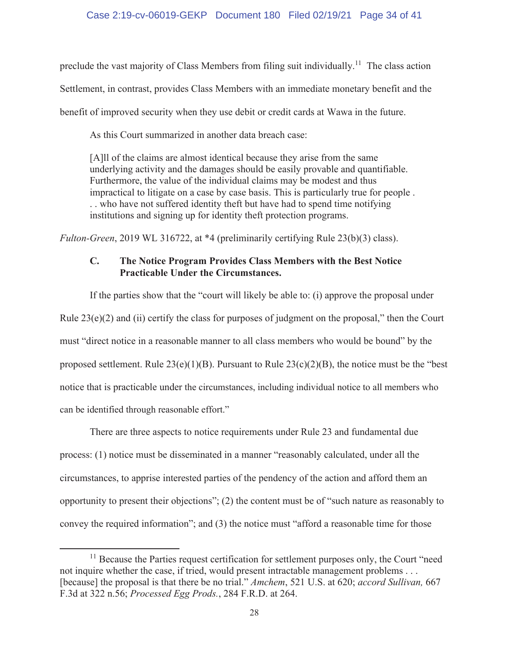preclude the vast majority of Class Members from filing suit individually.<sup>11</sup> The class action Settlement, in contrast, provides Class Members with an immediate monetary benefit and the benefit of improved security when they use debit or credit cards at Wawa in the future.

As this Court summarized in another data breach case:

[A]ll of the claims are almost identical because they arise from the same underlying activity and the damages should be easily provable and quantifiable. Furthermore, the value of the individual claims may be modest and thus impractical to litigate on a case by case basis. This is particularly true for people . . . who have not suffered identity theft but have had to spend time notifying institutions and signing up for identity theft protection programs.

*Fulton-Green*, 2019 WL 316722, at \*4 (preliminarily certifying Rule 23(b)(3) class).

### **C. The Notice Program Provides Class Members with the Best Notice Practicable Under the Circumstances.**

If the parties show that the "court will likely be able to: (i) approve the proposal under Rule  $23(e)(2)$  and (ii) certify the class for purposes of judgment on the proposal," then the Court must "direct notice in a reasonable manner to all class members who would be bound" by the proposed settlement. Rule  $23(e)(1)(B)$ . Pursuant to Rule  $23(c)(2)(B)$ , the notice must be the "best" notice that is practicable under the circumstances, including individual notice to all members who can be identified through reasonable effort."

There are three aspects to notice requirements under Rule 23 and fundamental due process: (1) notice must be disseminated in a manner "reasonably calculated, under all the circumstances, to apprise interested parties of the pendency of the action and afford them an opportunity to present their objections"; (2) the content must be of "such nature as reasonably to convey the required information"; and (3) the notice must "afford a reasonable time for those

<sup>&</sup>lt;sup>11</sup> Because the Parties request certification for settlement purposes only, the Court "need not inquire whether the case, if tried, would present intractable management problems . . . [because] the proposal is that there be no trial." *Amchem*, 521 U.S. at 620; *accord Sullivan,* 667 F.3d at 322 n.56; *Processed Egg Prods.*, 284 F.R.D. at 264.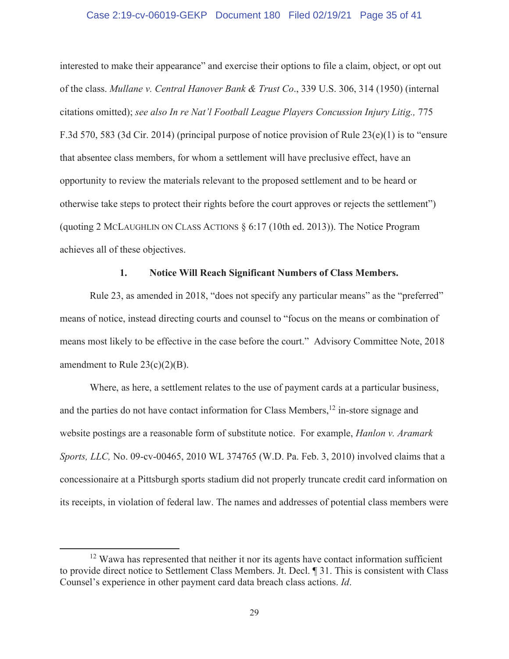#### Case 2:19-cv-06019-GEKP Document 180 Filed 02/19/21 Page 35 of 41

interested to make their appearance" and exercise their options to file a claim, object, or opt out of the class. *Mullane v. Central Hanover Bank & Trust Co*., 339 U.S. 306, 314 (1950) (internal citations omitted); *see also In re Nat'l Football League Players Concussion Injury Litig.,* 775 F.3d 570, 583 (3d Cir. 2014) (principal purpose of notice provision of Rule 23(e)(1) is to "ensure that absentee class members, for whom a settlement will have preclusive effect, have an opportunity to review the materials relevant to the proposed settlement and to be heard or otherwise take steps to protect their rights before the court approves or rejects the settlement") (quoting 2 MCLAUGHLIN ON CLASS ACTIONS § 6:17 (10th ed. 2013)). The Notice Program achieves all of these objectives.

#### **1. Notice Will Reach Significant Numbers of Class Members.**

Rule 23, as amended in 2018, "does not specify any particular means" as the "preferred" means of notice, instead directing courts and counsel to "focus on the means or combination of means most likely to be effective in the case before the court." Advisory Committee Note, 2018 amendment to Rule  $23(c)(2)(B)$ .

Where, as here, a settlement relates to the use of payment cards at a particular business, and the parties do not have contact information for Class Members,<sup>12</sup> in-store signage and website postings are a reasonable form of substitute notice. For example, *Hanlon v. Aramark Sports, LLC,* No. 09-cv-00465, 2010 WL 374765 (W.D. Pa. Feb. 3, 2010) involved claims that a concessionaire at a Pittsburgh sports stadium did not properly truncate credit card information on its receipts, in violation of federal law. The names and addresses of potential class members were

<sup>&</sup>lt;sup>12</sup> Wawa has represented that neither it nor its agents have contact information sufficient to provide direct notice to Settlement Class Members. Jt. Decl. ¶ 31. This is consistent with Class Counsel's experience in other payment card data breach class actions. *Id*.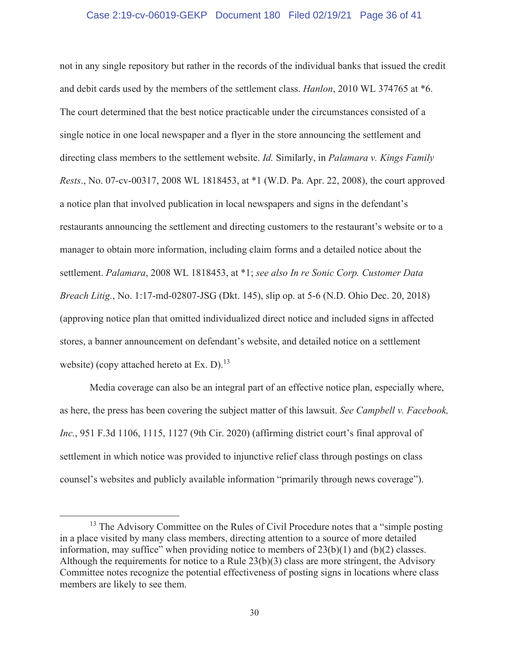#### Case 2:19-cv-06019-GEKP Document 180 Filed 02/19/21 Page 36 of 41

not in any single repository but rather in the records of the individual banks that issued the credit and debit cards used by the members of the settlement class. *Hanlon*, 2010 WL 374765 at \*6. The court determined that the best notice practicable under the circumstances consisted of a single notice in one local newspaper and a flyer in the store announcing the settlement and directing class members to the settlement website. *Id.* Similarly, in *Palamara v. Kings Family Rests*., No. 07-cv-00317, 2008 WL 1818453, at \*1 (W.D. Pa. Apr. 22, 2008), the court approved a notice plan that involved publication in local newspapers and signs in the defendant's restaurants announcing the settlement and directing customers to the restaurant's website or to a manager to obtain more information, including claim forms and a detailed notice about the settlement. *Palamara*, 2008 WL 1818453, at \*1; *see also In re Sonic Corp. Customer Data Breach Litig.*, No. 1:17-md-02807-JSG (Dkt. 145), slip op. at 5-6 (N.D. Ohio Dec. 20, 2018) (approving notice plan that omitted individualized direct notice and included signs in affected stores, a banner announcement on defendant's website, and detailed notice on a settlement website) (copy attached hereto at Ex.  $D$ ).<sup>13</sup>

Media coverage can also be an integral part of an effective notice plan, especially where, as here, the press has been covering the subject matter of this lawsuit. *See Campbell v. Facebook, Inc.*, 951 F.3d 1106, 1115, 1127 (9th Cir. 2020) (affirming district court's final approval of settlement in which notice was provided to injunctive relief class through postings on class counsel's websites and publicly available information "primarily through news coverage").

<sup>&</sup>lt;sup>13</sup> The Advisory Committee on the Rules of Civil Procedure notes that a "simple posting in a place visited by many class members, directing attention to a source of more detailed information, may suffice" when providing notice to members of  $23(b)(1)$  and  $(b)(2)$  classes. Although the requirements for notice to a Rule 23(b)(3) class are more stringent, the Advisory Committee notes recognize the potential effectiveness of posting signs in locations where class members are likely to see them.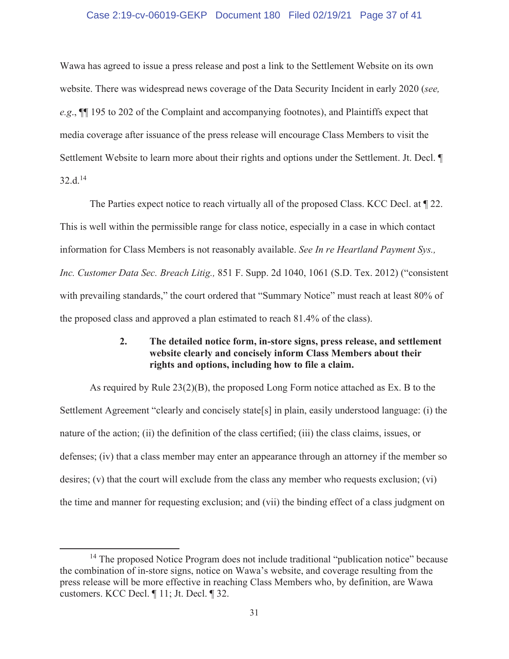#### Case 2:19-cv-06019-GEKP Document 180 Filed 02/19/21 Page 37 of 41

Wawa has agreed to issue a press release and post a link to the Settlement Website on its own website. There was widespread news coverage of the Data Security Incident in early 2020 (*see, e.g*., ¶¶ 195 to 202 of the Complaint and accompanying footnotes), and Plaintiffs expect that media coverage after issuance of the press release will encourage Class Members to visit the Settlement Website to learn more about their rights and options under the Settlement. Jt. Decl. ¶ 32.d.14

The Parties expect notice to reach virtually all of the proposed Class. KCC Decl. at ¶ 22. This is well within the permissible range for class notice, especially in a case in which contact information for Class Members is not reasonably available. *See In re Heartland Payment Sys., Inc. Customer Data Sec. Breach Litig.,* 851 F. Supp. 2d 1040, 1061 (S.D. Tex. 2012) ("consistent with prevailing standards," the court ordered that "Summary Notice" must reach at least 80% of the proposed class and approved a plan estimated to reach 81.4% of the class).

### **2. The detailed notice form, in-store signs, press release, and settlement website clearly and concisely inform Class Members about their rights and options, including how to file a claim.**

As required by Rule 23(2)(B), the proposed Long Form notice attached as Ex. B to the Settlement Agreement "clearly and concisely state[s] in plain, easily understood language: (i) the nature of the action; (ii) the definition of the class certified; (iii) the class claims, issues, or defenses; (iv) that a class member may enter an appearance through an attorney if the member so desires; (v) that the court will exclude from the class any member who requests exclusion; (vi) the time and manner for requesting exclusion; and (vii) the binding effect of a class judgment on

<sup>&</sup>lt;sup>14</sup> The proposed Notice Program does not include traditional "publication notice" because the combination of in-store signs, notice on Wawa's website, and coverage resulting from the press release will be more effective in reaching Class Members who, by definition, are Wawa customers. KCC Decl. ¶ 11; Jt. Decl. ¶ 32.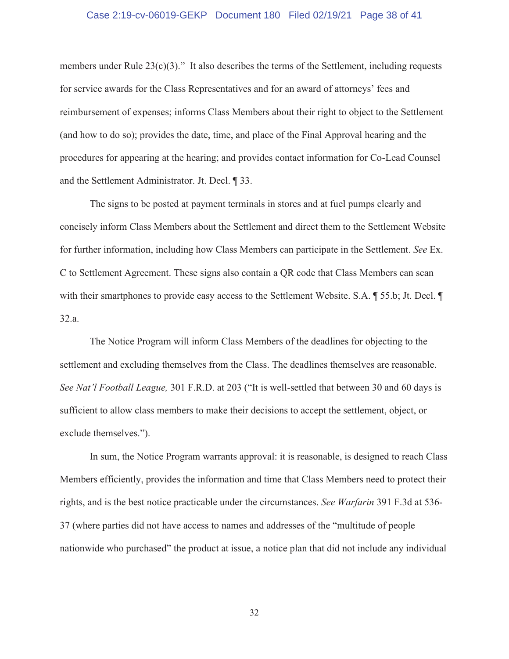#### Case 2:19-cv-06019-GEKP Document 180 Filed 02/19/21 Page 38 of 41

members under Rule  $23(c)(3)$ ." It also describes the terms of the Settlement, including requests for service awards for the Class Representatives and for an award of attorneys' fees and reimbursement of expenses; informs Class Members about their right to object to the Settlement (and how to do so); provides the date, time, and place of the Final Approval hearing and the procedures for appearing at the hearing; and provides contact information for Co-Lead Counsel and the Settlement Administrator. Jt. Decl. ¶ 33.

The signs to be posted at payment terminals in stores and at fuel pumps clearly and concisely inform Class Members about the Settlement and direct them to the Settlement Website for further information, including how Class Members can participate in the Settlement. *See* Ex. C to Settlement Agreement. These signs also contain a QR code that Class Members can scan with their smartphones to provide easy access to the Settlement Website. S.A. ¶ 55.b; Jt. Decl. ¶ 32.a.

 The Notice Program will inform Class Members of the deadlines for objecting to the settlement and excluding themselves from the Class. The deadlines themselves are reasonable. *See Nat'l Football League,* 301 F.R.D. at 203 ("It is well-settled that between 30 and 60 days is sufficient to allow class members to make their decisions to accept the settlement, object, or exclude themselves.").

In sum, the Notice Program warrants approval: it is reasonable, is designed to reach Class Members efficiently, provides the information and time that Class Members need to protect their rights, and is the best notice practicable under the circumstances. *See Warfarin* 391 F.3d at 536- 37 (where parties did not have access to names and addresses of the "multitude of people nationwide who purchased" the product at issue, a notice plan that did not include any individual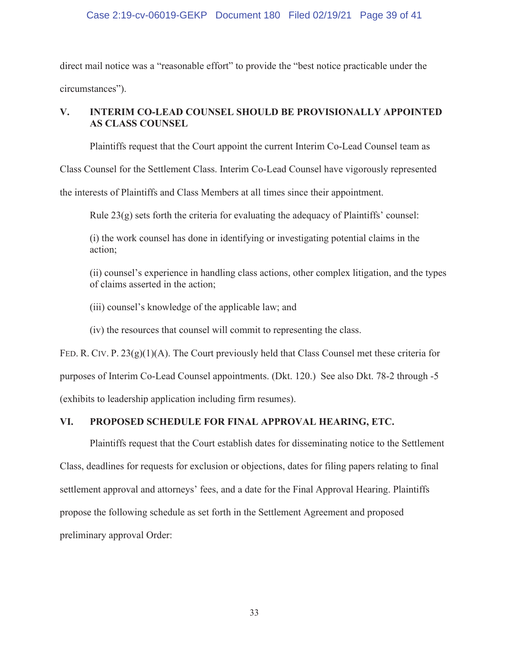### Case 2:19-cv-06019-GEKP Document 180 Filed 02/19/21 Page 39 of 41

direct mail notice was a "reasonable effort" to provide the "best notice practicable under the circumstances").

### **V. INTERIM CO-LEAD COUNSEL SHOULD BE PROVISIONALLY APPOINTED AS CLASS COUNSEL**

Plaintiffs request that the Court appoint the current Interim Co-Lead Counsel team as

Class Counsel for the Settlement Class. Interim Co-Lead Counsel have vigorously represented

the interests of Plaintiffs and Class Members at all times since their appointment.

Rule  $23(g)$  sets forth the criteria for evaluating the adequacy of Plaintiffs' counsel:

(i) the work counsel has done in identifying or investigating potential claims in the action;

(ii) counsel's experience in handling class actions, other complex litigation, and the types of claims asserted in the action;

(iii) counsel's knowledge of the applicable law; and

(iv) the resources that counsel will commit to representing the class.

FED. R. CIV. P.  $23(g)(1)(A)$ . The Court previously held that Class Counsel met these criteria for purposes of Interim Co-Lead Counsel appointments. (Dkt. 120.) See also Dkt. 78-2 through -5 (exhibits to leadership application including firm resumes).

### **VI. PROPOSED SCHEDULE FOR FINAL APPROVAL HEARING, ETC.**

Plaintiffs request that the Court establish dates for disseminating notice to the Settlement Class, deadlines for requests for exclusion or objections, dates for filing papers relating to final settlement approval and attorneys' fees, and a date for the Final Approval Hearing. Plaintiffs propose the following schedule as set forth in the Settlement Agreement and proposed preliminary approval Order: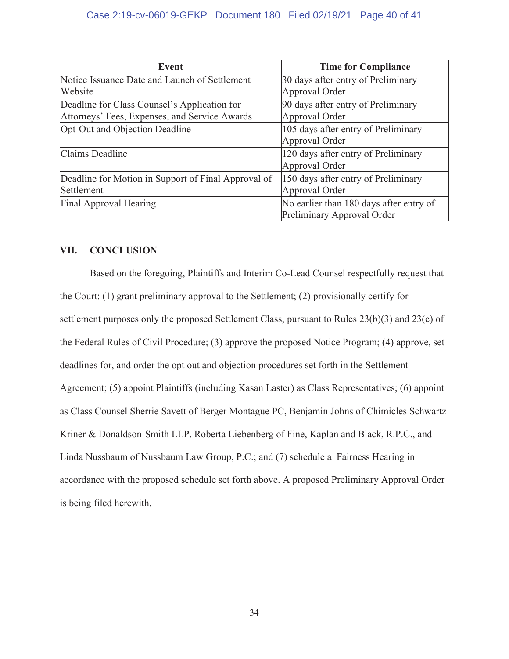| Event                                               | <b>Time for Compliance</b>              |
|-----------------------------------------------------|-----------------------------------------|
| Notice Issuance Date and Launch of Settlement       | 30 days after entry of Preliminary      |
| Website                                             | Approval Order                          |
| Deadline for Class Counsel's Application for        | 90 days after entry of Preliminary      |
| Attorneys' Fees, Expenses, and Service Awards       | Approval Order                          |
| Opt-Out and Objection Deadline                      | 105 days after entry of Preliminary     |
|                                                     | Approval Order                          |
| Claims Deadline                                     | 120 days after entry of Preliminary     |
|                                                     | Approval Order                          |
| Deadline for Motion in Support of Final Approval of | 150 days after entry of Preliminary     |
| Settlement                                          | Approval Order                          |
| Final Approval Hearing                              | No earlier than 180 days after entry of |
|                                                     | Preliminary Approval Order              |

### **VII. CONCLUSION**

 Based on the foregoing, Plaintiffs and Interim Co-Lead Counsel respectfully request that the Court: (1) grant preliminary approval to the Settlement; (2) provisionally certify for settlement purposes only the proposed Settlement Class, pursuant to Rules 23(b)(3) and 23(e) of the Federal Rules of Civil Procedure; (3) approve the proposed Notice Program; (4) approve, set deadlines for, and order the opt out and objection procedures set forth in the Settlement Agreement; (5) appoint Plaintiffs (including Kasan Laster) as Class Representatives; (6) appoint as Class Counsel Sherrie Savett of Berger Montague PC, Benjamin Johns of Chimicles Schwartz Kriner & Donaldson-Smith LLP, Roberta Liebenberg of Fine, Kaplan and Black, R.P.C., and Linda Nussbaum of Nussbaum Law Group, P.C.; and (7) schedule a Fairness Hearing in accordance with the proposed schedule set forth above. A proposed Preliminary Approval Order is being filed herewith.